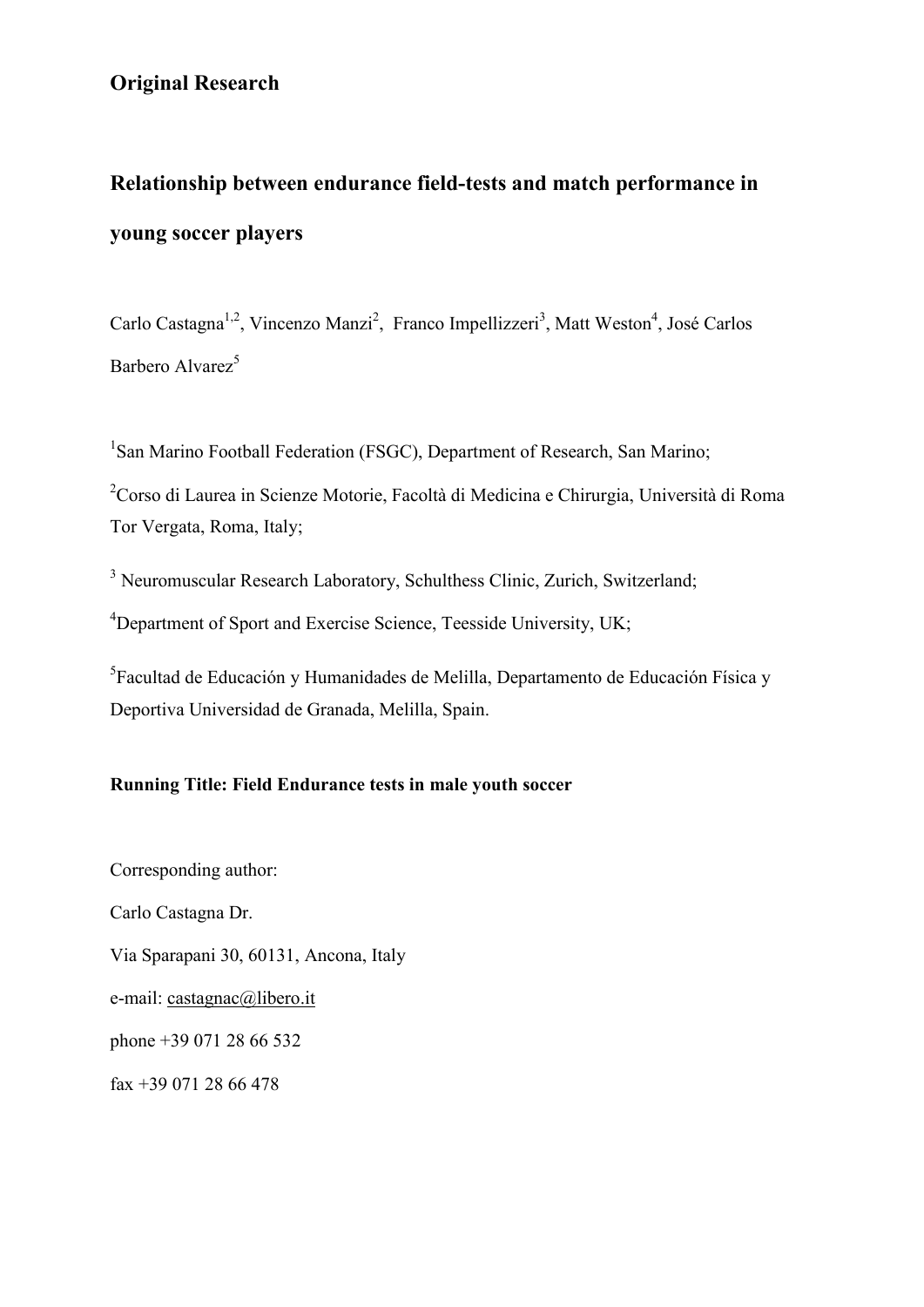## **Original Research**

# **Relationship between endurance field-tests and match performance in young soccer players**

Carlo Castagna<sup>1,2</sup>, Vincenzo Manzi<sup>2</sup>, Franco Impellizzeri<sup>3</sup>, Matt Weston<sup>4</sup>, José Carlos Barbero Alvarez<sup>5</sup>

<sup>1</sup>San Marino Football Federation (FSGC), Department of Research, San Marino;

<sup>2</sup>Corso di Laurea in Scienze Motorie, Facoltà di Medicina e Chirurgia, Università di Roma Tor Vergata, Roma, Italy;

<sup>3</sup> Neuromuscular Research Laboratory, Schulthess Clinic, Zurich, Switzerland;

<sup>4</sup>Department of Sport and Exercise Science, Teesside University, UK;

<sup>5</sup>Facultad de Educación y Humanidades de Melilla, Departamento de Educación Física y Deportiva Universidad de Granada, Melilla, Spain.

#### **Running Title: Field Endurance tests in male youth soccer**

Corresponding author: Carlo Castagna Dr. Via Sparapani 30, 60131, Ancona, Italy e-mail: [castagnac@libero.it](mailto:castagnac@libero.it) phone +39 071 28 66 532 fax +39 071 28 66 478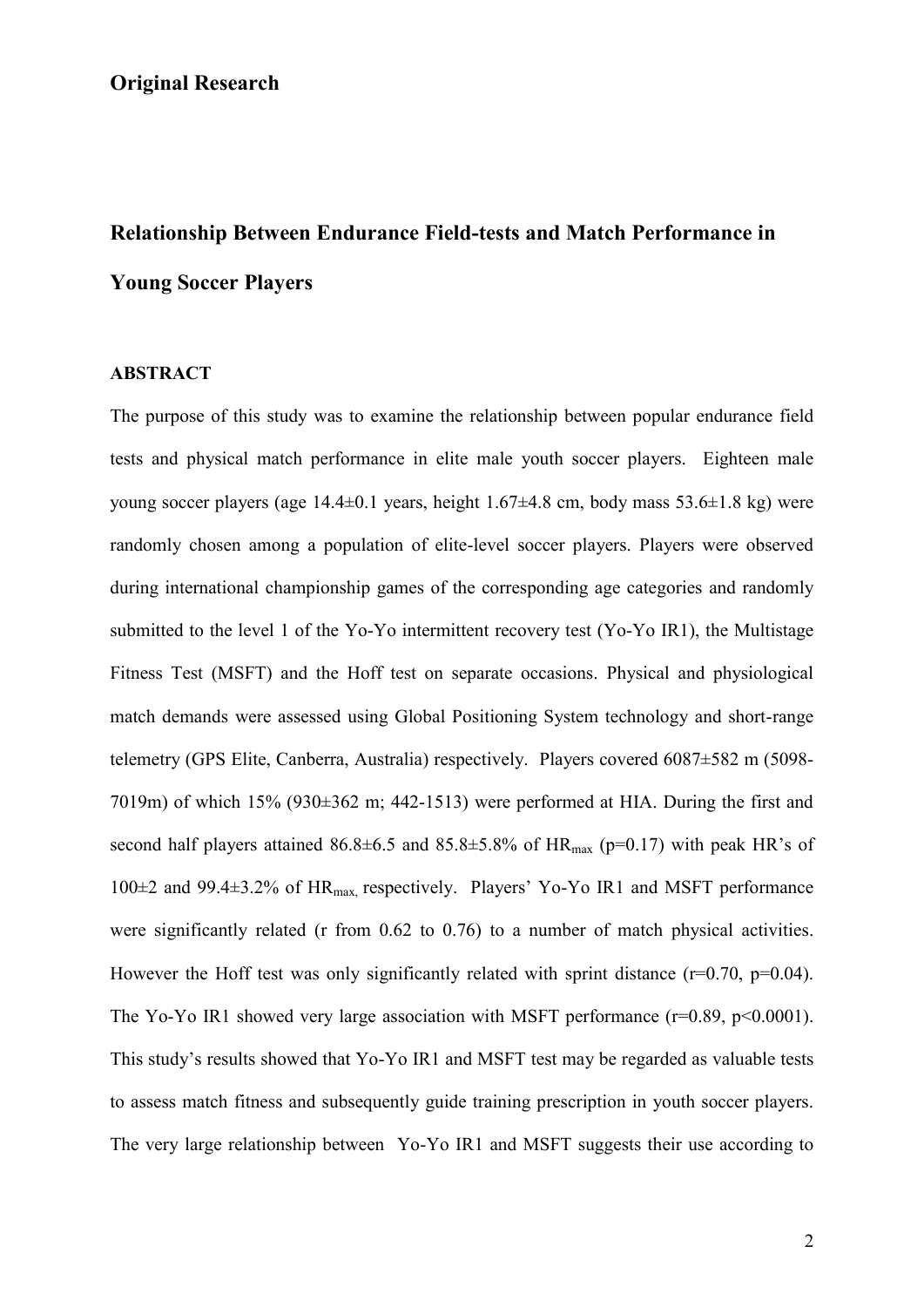## **Relationship Between Endurance Field-tests and Match Performance in Young Soccer Players**

#### **ABSTRACT**

The purpose of this study was to examine the relationship between popular endurance field tests and physical match performance in elite male youth soccer players. Eighteen male young soccer players (age 14.4±0.1 years, height 1.67±4.8 cm, body mass 53.6±1.8 kg) were randomly chosen among a population of elite-level soccer players. Players were observed during international championship games of the corresponding age categories and randomly submitted to the level 1 of the Yo-Yo intermittent recovery test (Yo-Yo IR1), the Multistage Fitness Test (MSFT) and the Hoff test on separate occasions. Physical and physiological match demands were assessed using Global Positioning System technology and short-range telemetry (GPS Elite, Canberra, Australia) respectively. Players covered 6087±582 m (5098- 7019m) of which 15% (930±362 m; 442-1513) were performed at HIA. During the first and second half players attained 86.8 $\pm$ 6.5 and 85.8 $\pm$ 5.8% of HR<sub>max</sub> (p=0.17) with peak HR's of  $100\pm2$  and 99.4 $\pm3.2\%$  of HR<sub>max</sub> respectively. Players' Yo-Yo IR1 and MSFT performance were significantly related (r from 0.62 to 0.76) to a number of match physical activities. However the Hoff test was only significantly related with sprint distance  $(r=0.70, p=0.04)$ . The Yo-Yo IR1 showed very large association with MSFT performance  $(r=0.89, p<0.0001)$ . This study's results showed that Yo-Yo IR1 and MSFT test may be regarded as valuable tests to assess match fitness and subsequently guide training prescription in youth soccer players. The very large relationship between Yo-Yo IR1 and MSFT suggests their use according to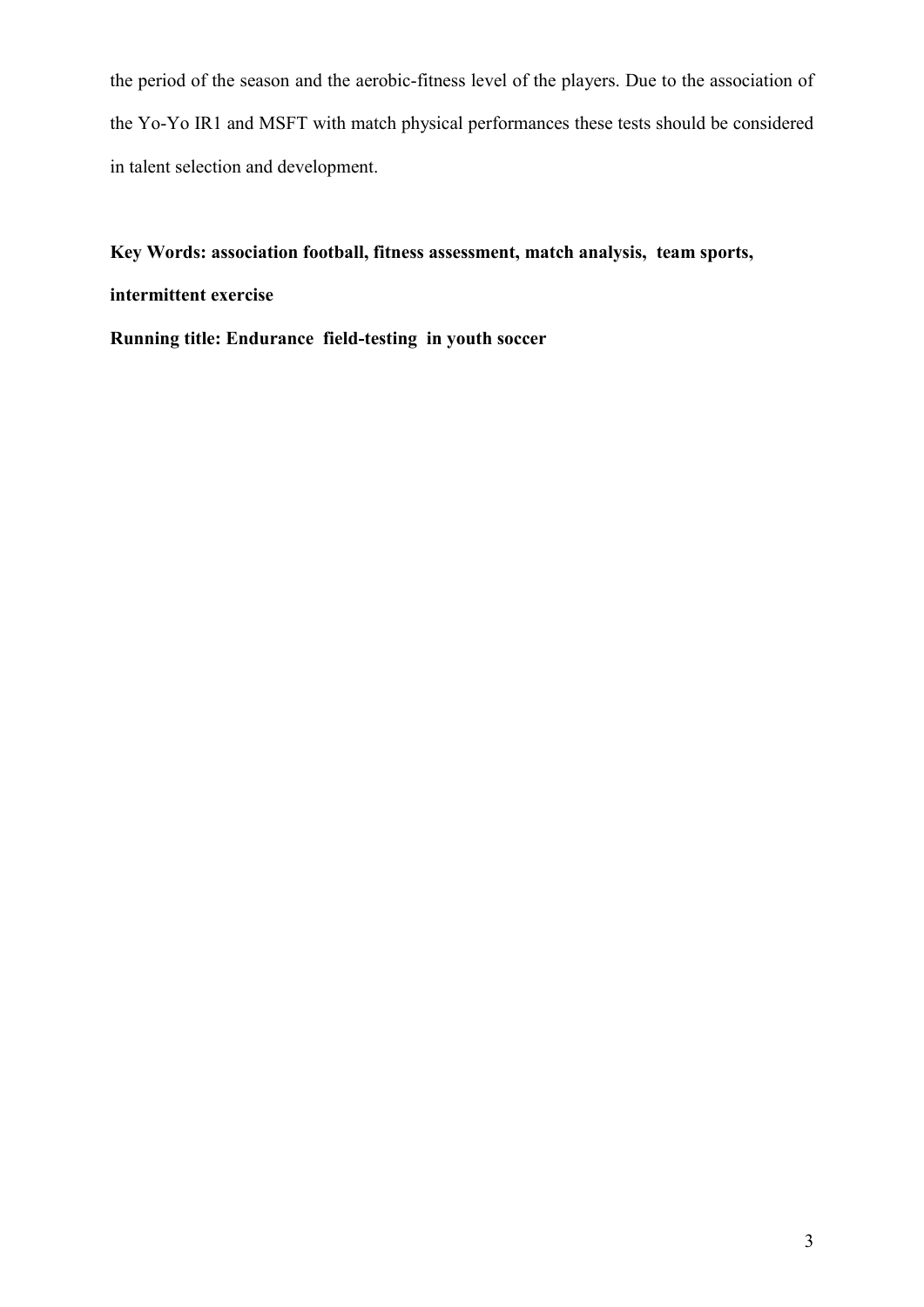the period of the season and the aerobic-fitness level of the players. Due to the association of the Yo-Yo IR1 and MSFT with match physical performances these tests should be considered in talent selection and development.

**Key Words: association football, fitness assessment, match analysis, team sports, intermittent exercise** 

**Running title: Endurance field-testing in youth soccer**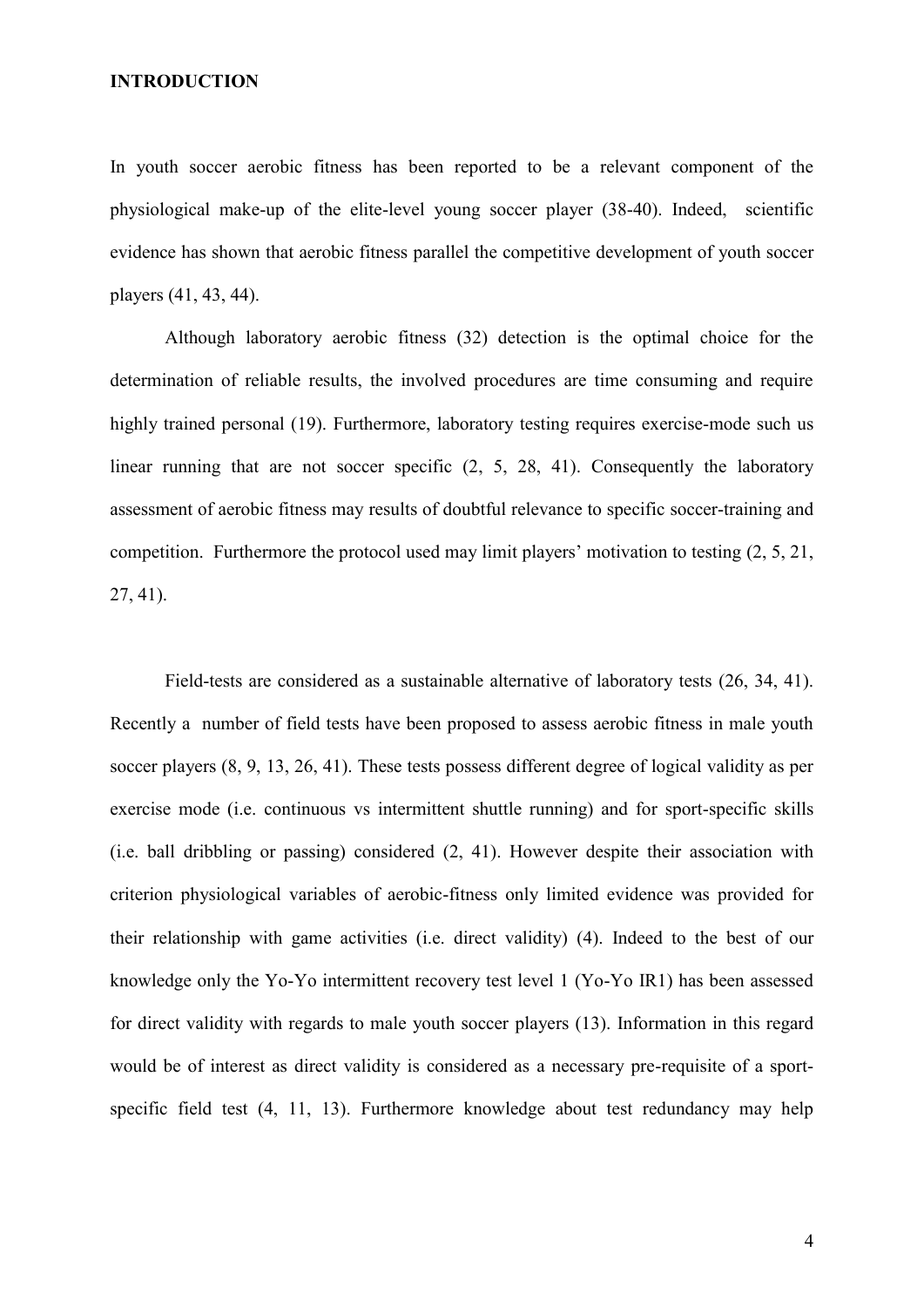#### **INTRODUCTION**

In youth soccer aerobic fitness has been reported to be a relevant component of the physiological make-up of the elite-level young soccer player (38-40). Indeed, scientific evidence has shown that aerobic fitness parallel the competitive development of youth soccer players (41, 43, 44).

Although laboratory aerobic fitness (32) detection is the optimal choice for the determination of reliable results, the involved procedures are time consuming and require highly trained personal (19). Furthermore, laboratory testing requires exercise-mode such us linear running that are not soccer specific  $(2, 5, 28, 41)$ . Consequently the laboratory assessment of aerobic fitness may results of doubtful relevance to specific soccer-training and competition. Furthermore the protocol used may limit players' motivation to testing (2, 5, 21, 27, 41).

Field-tests are considered as a sustainable alternative of laboratory tests (26, 34, 41). Recently a number of field tests have been proposed to assess aerobic fitness in male youth soccer players (8, 9, 13, 26, 41). These tests possess different degree of logical validity as per exercise mode (i.e. continuous vs intermittent shuttle running) and for sport-specific skills (i.e. ball dribbling or passing) considered (2, 41). However despite their association with criterion physiological variables of aerobic-fitness only limited evidence was provided for their relationship with game activities (i.e. direct validity) (4). Indeed to the best of our knowledge only the Yo-Yo intermittent recovery test level 1 (Yo-Yo IR1) has been assessed for direct validity with regards to male youth soccer players (13). Information in this regard would be of interest as direct validity is considered as a necessary pre-requisite of a sportspecific field test (4, 11, 13). Furthermore knowledge about test redundancy may help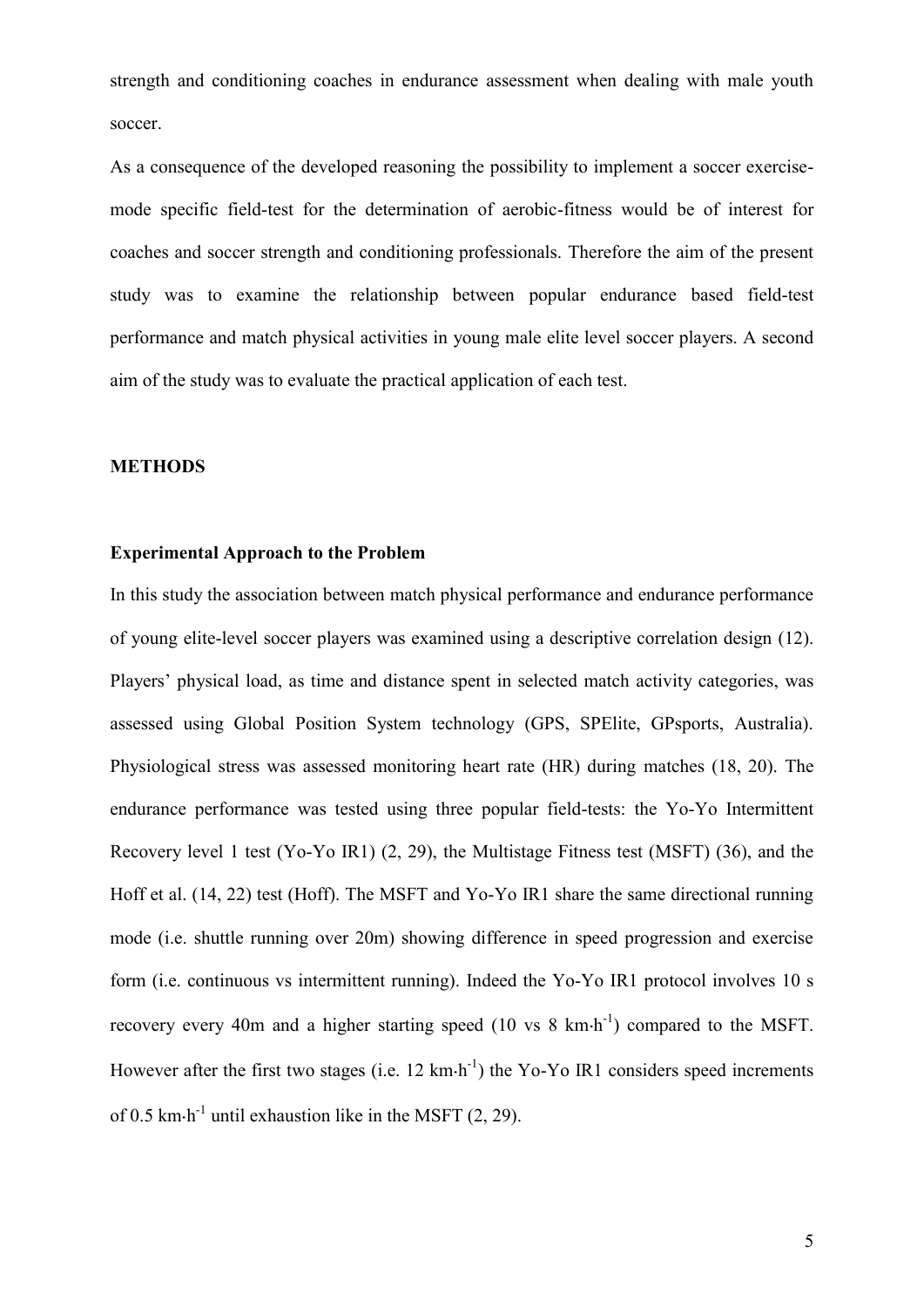strength and conditioning coaches in endurance assessment when dealing with male youth soccer.

As a consequence of the developed reasoning the possibility to implement a soccer exercisemode specific field-test for the determination of aerobic-fitness would be of interest for coaches and soccer strength and conditioning professionals. Therefore the aim of the present study was to examine the relationship between popular endurance based field-test performance and match physical activities in young male elite level soccer players. A second aim of the study was to evaluate the practical application of each test.

#### **METHODS**

#### **Experimental Approach to the Problem**

In this study the association between match physical performance and endurance performance of young elite-level soccer players was examined using a descriptive correlation design (12). Players' physical load, as time and distance spent in selected match activity categories, was assessed using Global Position System technology (GPS, SPElite, GPsports, Australia). Physiological stress was assessed monitoring heart rate (HR) during matches (18, 20). The endurance performance was tested using three popular field-tests: the Yo-Yo Intermittent Recovery level 1 test (Yo-Yo IR1) (2, 29), the Multistage Fitness test (MSFT) (36), and the Hoff et al. (14, 22) test (Hoff). The MSFT and Yo-Yo IR1 share the same directional running mode (i.e. shuttle running over 20m) showing difference in speed progression and exercise form (i.e. continuous vs intermittent running). Indeed the Yo-Yo IR1 protocol involves 10 s recovery every 40m and a higher starting speed  $(10 \text{ vs } 8 \text{ km} \cdot \text{h}^{-1})$  compared to the MSFT. However after the first two stages (i.e.  $12 \text{ km} \cdot \text{h}^{-1}$ ) the Yo-Yo IR1 considers speed increments of 0.5 km $\cdot$ h<sup>-1</sup> until exhaustion like in the MSFT (2, 29).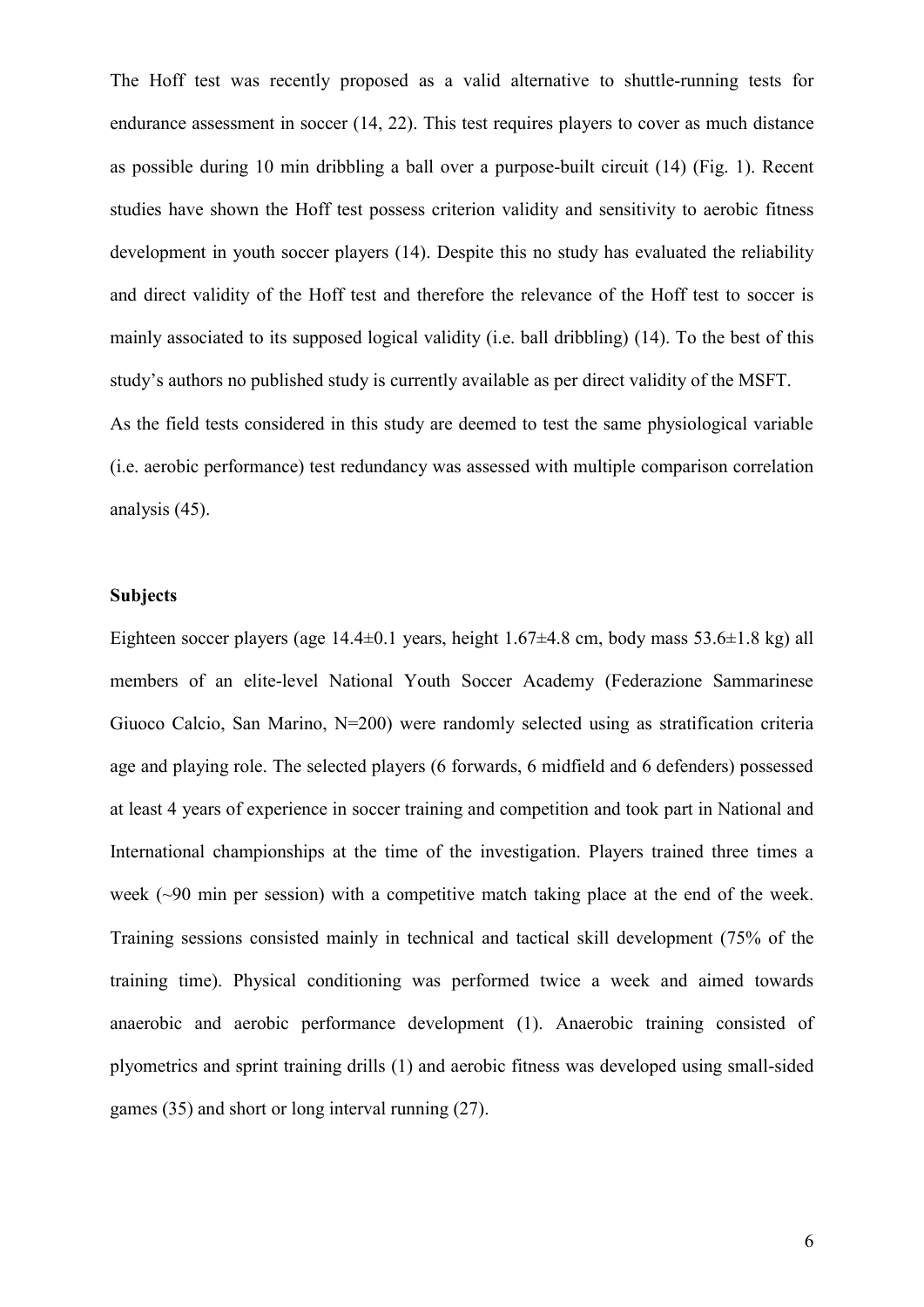The Hoff test was recently proposed as a valid alternative to shuttle-running tests for endurance assessment in soccer (14, 22). This test requires players to cover as much distance as possible during 10 min dribbling a ball over a purpose-built circuit (14) (Fig. 1). Recent studies have shown the Hoff test possess criterion validity and sensitivity to aerobic fitness development in youth soccer players (14). Despite this no study has evaluated the reliability and direct validity of the Hoff test and therefore the relevance of the Hoff test to soccer is mainly associated to its supposed logical validity (i.e. ball dribbling) (14). To the best of this study's authors no published study is currently available as per direct validity of the MSFT. As the field tests considered in this study are deemed to test the same physiological variable (i.e. aerobic performance) test redundancy was assessed with multiple comparison correlation analysis (45).

#### **Subjects**

Eighteen soccer players (age  $14.4\pm0.1$  years, height  $1.67\pm4.8$  cm, body mass  $53.6\pm1.8$  kg) all members of an elite-level National Youth Soccer Academy (Federazione Sammarinese Giuoco Calcio, San Marino, N=200) were randomly selected using as stratification criteria age and playing role. The selected players (6 forwards, 6 midfield and 6 defenders) possessed at least 4 years of experience in soccer training and competition and took part in National and International championships at the time of the investigation. Players trained three times a week (~90 min per session) with a competitive match taking place at the end of the week. Training sessions consisted mainly in technical and tactical skill development (75% of the training time). Physical conditioning was performed twice a week and aimed towards anaerobic and aerobic performance development (1). Anaerobic training consisted of plyometrics and sprint training drills (1) and aerobic fitness was developed using small-sided games (35) and short or long interval running (27).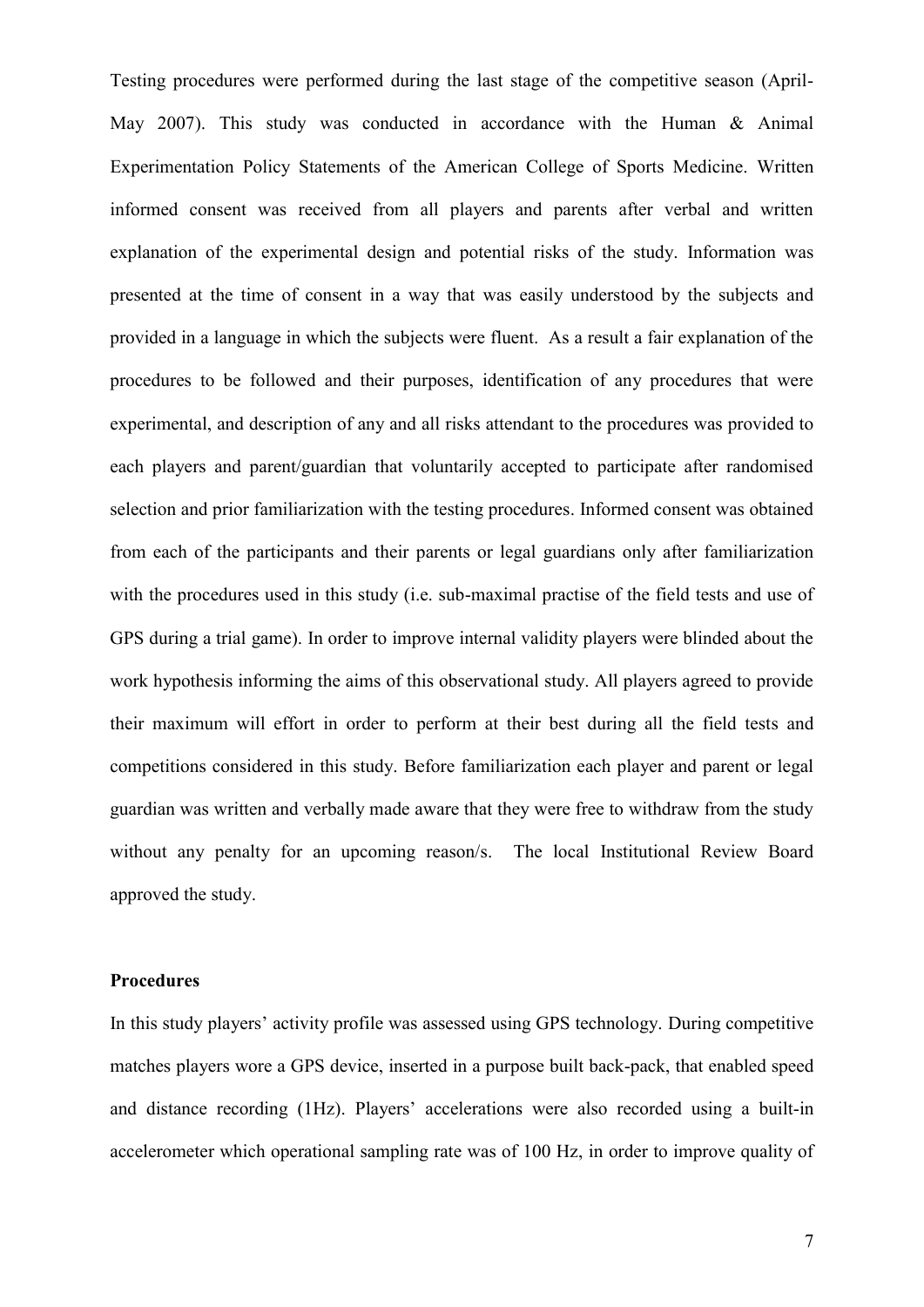Testing procedures were performed during the last stage of the competitive season (April-May 2007). This study was conducted in accordance with the Human & Animal Experimentation Policy Statements of the American College of Sports Medicine. Written informed consent was received from all players and parents after verbal and written explanation of the experimental design and potential risks of the study. Information was presented at the time of consent in a way that was easily understood by the subjects and provided in a language in which the subjects were fluent. As a result a fair explanation of the procedures to be followed and their purposes, identification of any procedures that were experimental, and description of any and all risks attendant to the procedures was provided to each players and parent/guardian that voluntarily accepted to participate after randomised selection and prior familiarization with the testing procedures. Informed consent was obtained from each of the participants and their parents or legal guardians only after familiarization with the procedures used in this study (i.e. sub-maximal practise of the field tests and use of GPS during a trial game). In order to improve internal validity players were blinded about the work hypothesis informing the aims of this observational study. All players agreed to provide their maximum will effort in order to perform at their best during all the field tests and competitions considered in this study. Before familiarization each player and parent or legal guardian was written and verbally made aware that they were free to withdraw from the study without any penalty for an upcoming reason/s. The local Institutional Review Board approved the study.

#### **Procedures**

In this study players' activity profile was assessed using GPS technology. During competitive matches players wore a GPS device, inserted in a purpose built back-pack, that enabled speed and distance recording (1Hz). Players' accelerations were also recorded using a built-in accelerometer which operational sampling rate was of 100 Hz, in order to improve quality of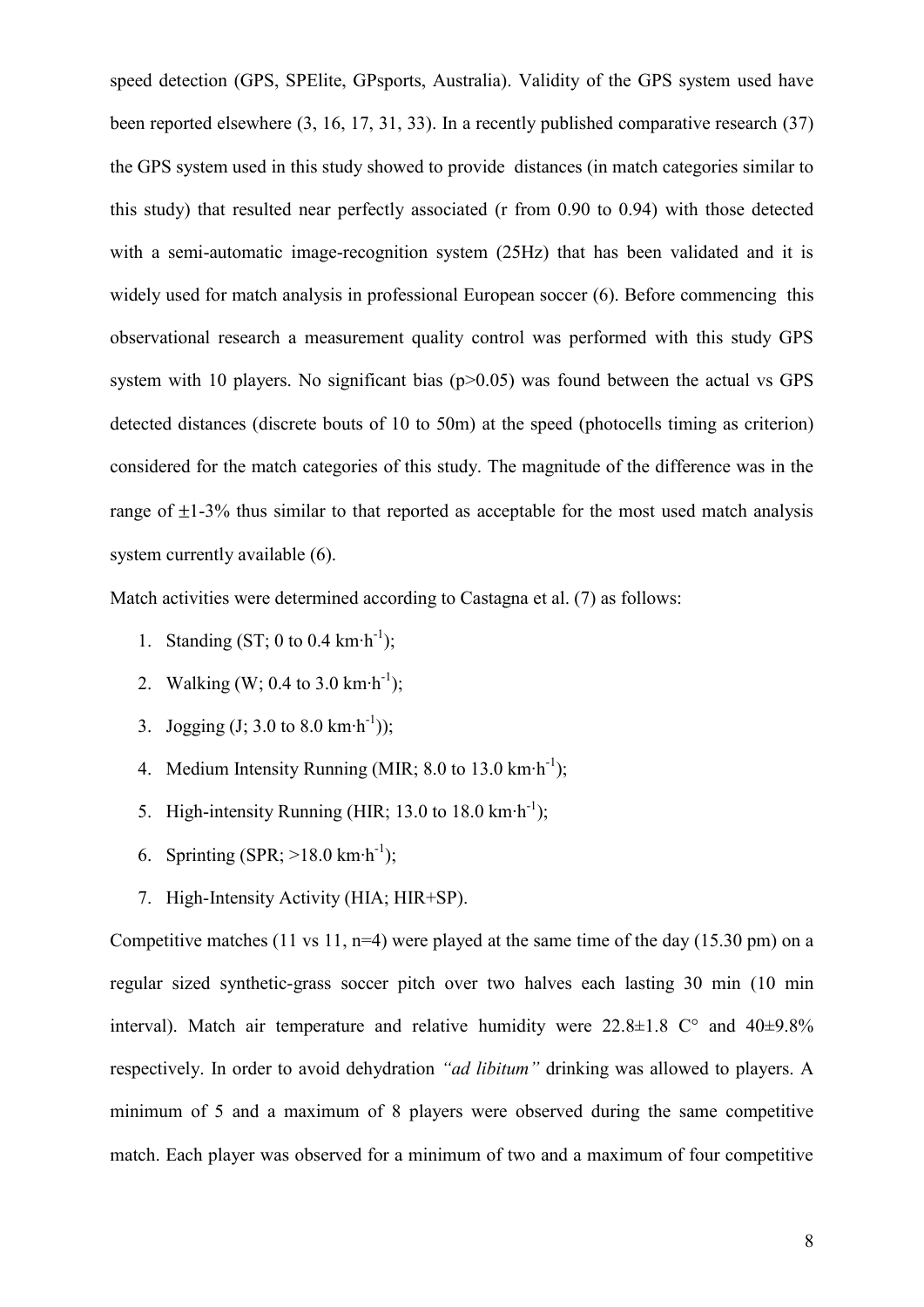speed detection (GPS, SPElite, GPsports, Australia). Validity of the GPS system used have been reported elsewhere (3, 16, 17, 31, 33). In a recently published comparative research (37) the GPS system used in this study showed to provide distances (in match categories similar to this study) that resulted near perfectly associated (r from 0.90 to 0.94) with those detected with a semi-automatic image-recognition system (25Hz) that has been validated and it is widely used for match analysis in professional European soccer (6). Before commencing this observational research a measurement quality control was performed with this study GPS system with 10 players. No significant bias  $(p>0.05)$  was found between the actual vs GPS detected distances (discrete bouts of 10 to 50m) at the speed (photocells timing as criterion) considered for the match categories of this study. The magnitude of the difference was in the range of  $\pm 1$ -3% thus similar to that reported as acceptable for the most used match analysis system currently available (6).

Match activities were determined according to Castagna et al. (7) as follows:

- 1. Standing  $(ST; 0 to 0.4 km \cdot h^{-1})$ ;
- 2. Walking (W; 0.4 to 3.0 km $\cdot$ h<sup>-1</sup>);
- 3. Jogging  $(J: 3.0 \text{ to } 8.0 \text{ km} \cdot \text{h}^{-1})$ :
- 4. Medium Intensity Running (MIR;  $8.0$  to 13.0 km·h<sup>-1</sup>);
- 5. High-intensity Running (HIR; 13.0 to 18.0 km·h<sup>-1</sup>);
- 6. Sprinting (SPR;  $>18.0 \text{ km} \cdot \text{h}^{-1}$ );
- 7. High-Intensity Activity (HIA; HIR+SP).

Competitive matches (11 vs 11,  $n=4$ ) were played at the same time of the day (15.30 pm) on a regular sized synthetic-grass soccer pitch over two halves each lasting 30 min (10 min interval). Match air temperature and relative humidity were  $22.8\pm1.8$  C° and  $40\pm9.8\%$ respectively. In order to avoid dehydration *"ad libitum"* drinking was allowed to players. A minimum of 5 and a maximum of 8 players were observed during the same competitive match. Each player was observed for a minimum of two and a maximum of four competitive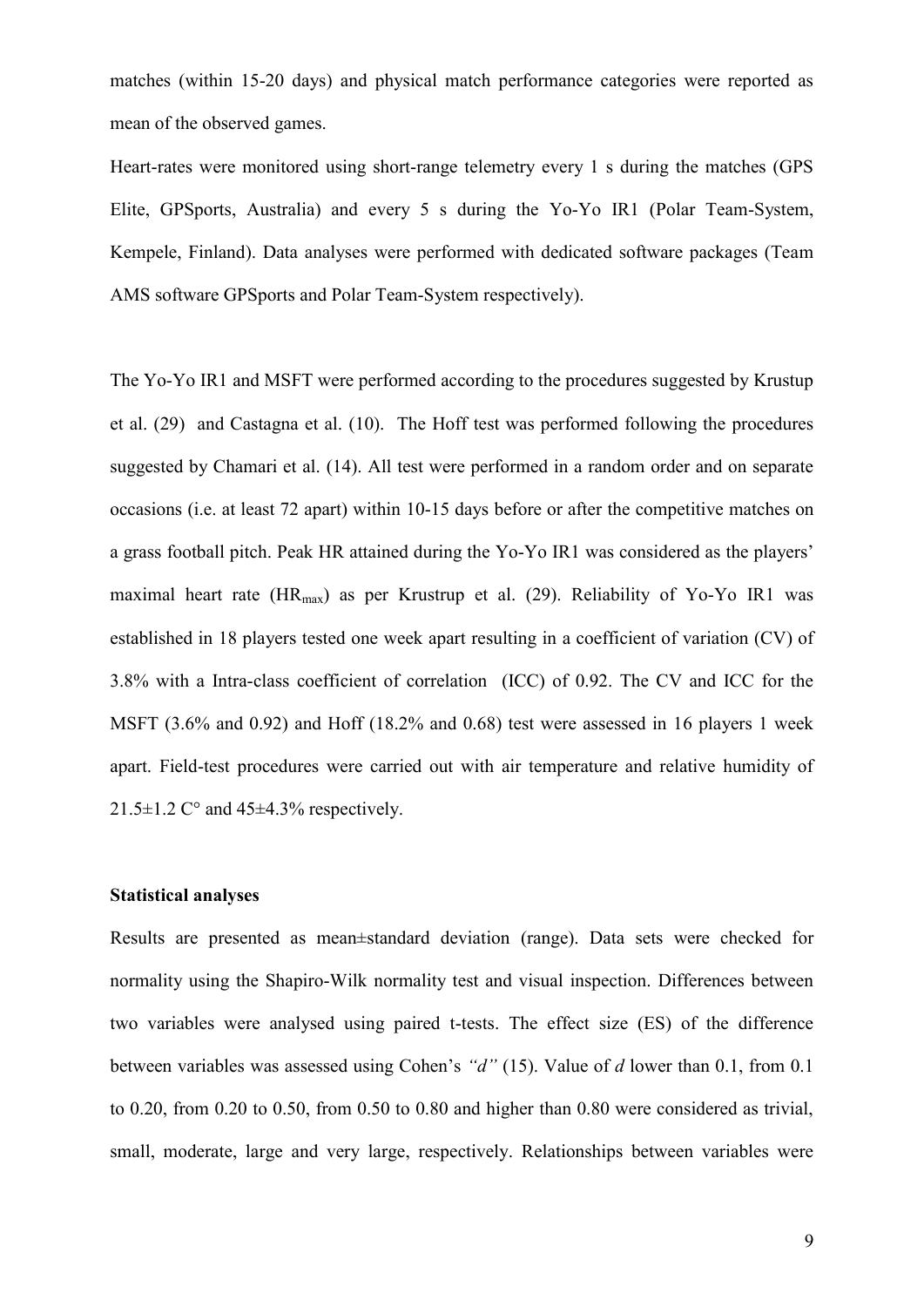matches (within 15-20 days) and physical match performance categories were reported as mean of the observed games.

Heart-rates were monitored using short-range telemetry every 1 s during the matches (GPS Elite, GPSports, Australia) and every 5 s during the Yo-Yo IR1 (Polar Team-System, Kempele, Finland). Data analyses were performed with dedicated software packages (Team AMS software GPSports and Polar Team-System respectively).

The Yo-Yo IR1 and MSFT were performed according to the procedures suggested by Krustup et al. (29) and Castagna et al. (10). The Hoff test was performed following the procedures suggested by Chamari et al. (14). All test were performed in a random order and on separate occasions (i.e. at least 72 apart) within 10-15 days before or after the competitive matches on a grass football pitch. Peak HR attained during the Yo-Yo IR1 was considered as the players' maximal heart rate  $(HR_{max})$  as per Krustrup et al. (29). Reliability of Yo-Yo IR1 was established in 18 players tested one week apart resulting in a coefficient of variation (CV) of 3.8% with a Intra-class coefficient of correlation (ICC) of 0.92. The CV and ICC for the MSFT (3.6% and 0.92) and Hoff (18.2% and 0.68) test were assessed in 16 players 1 week apart. Field-test procedures were carried out with air temperature and relative humidity of 21.5 $\pm$ 1.2 C<sup>o</sup> and 45 $\pm$ 4.3% respectively.

#### **Statistical analyses**

Results are presented as mean±standard deviation (range). Data sets were checked for normality using the Shapiro-Wilk normality test and visual inspection. Differences between two variables were analysed using paired t-tests. The effect size (ES) of the difference between variables was assessed using Cohen's *"d"* (15). Value of *d* lower than 0.1, from 0.1 to 0.20, from 0.20 to 0.50, from 0.50 to 0.80 and higher than 0.80 were considered as trivial, small, moderate, large and very large, respectively. Relationships between variables were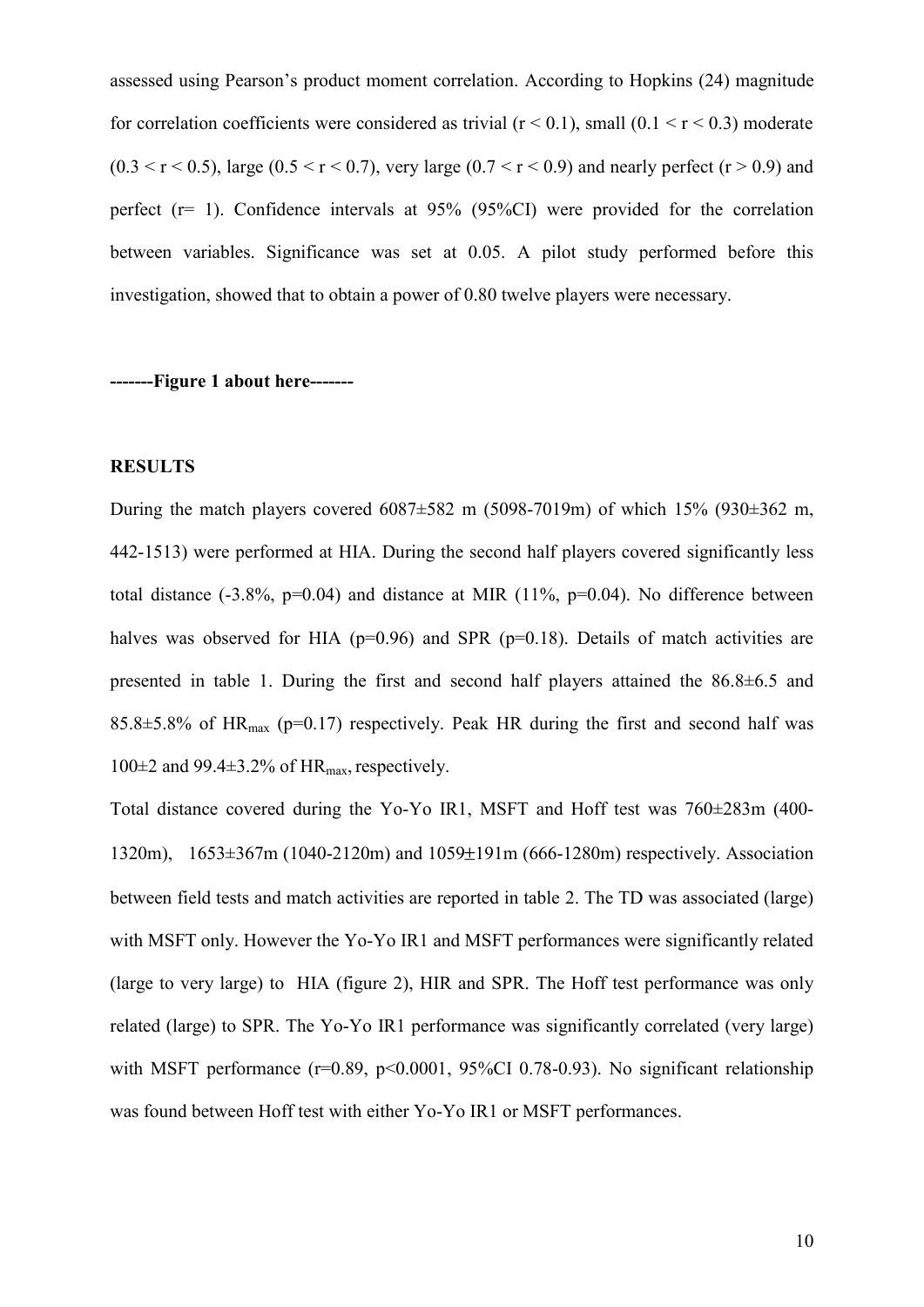assessed using Pearson's product moment correlation. According to Hopkins (24) magnitude for correlation coefficients were considered as trivial  $(r < 0.1)$ , small  $(0.1 < r < 0.3)$  moderate  $(0.3 \le r \le 0.5)$ , large  $(0.5 \le r \le 0.7)$ , very large  $(0.7 \le r \le 0.9)$  and nearly perfect  $(r > 0.9)$  and perfect (r= 1). Confidence intervals at 95% (95%CI) were provided for the correlation between variables. Significance was set at 0.05. A pilot study performed before this investigation, showed that to obtain a power of 0.80 twelve players were necessary.

#### **-------Figure 1 about here-------**

#### **RESULTS**

During the match players covered  $6087\pm582$  m (5098-7019m) of which 15% (930 $\pm$ 362 m, 442-1513) were performed at HIA. During the second half players covered significantly less total distance  $(-3.8\%, p=0.04)$  and distance at MIR  $(11\%, p=0.04)$ . No difference between halves was observed for HIA ( $p=0.96$ ) and SPR ( $p=0.18$ ). Details of match activities are presented in table 1. During the first and second half players attained the 86.8±6.5 and 85.8 $\pm$ 5.8% of HR<sub>max</sub> (p=0.17) respectively. Peak HR during the first and second half was 100 $\pm$ 2 and 99.4 $\pm$ 3.2% of HR<sub>max</sub>, respectively.

Total distance covered during the Yo-Yo IR1, MSFT and Hoff test was 760±283m (400- 1320m),  $1653\pm367$ m (1040-2120m) and 1059 $\pm$ 191m (666-1280m) respectively. Association between field tests and match activities are reported in table 2. The TD was associated (large) with MSFT only. However the Yo-Yo IR1 and MSFT performances were significantly related (large to very large) to HIA (figure 2), HIR and SPR. The Hoff test performance was only related (large) to SPR. The Yo-Yo IR1 performance was significantly correlated (very large) with MSFT performance  $(r=0.89, p<0.0001, 95\% CI 0.78-0.93)$ . No significant relationship was found between Hoff test with either Yo-Yo IR1 or MSFT performances.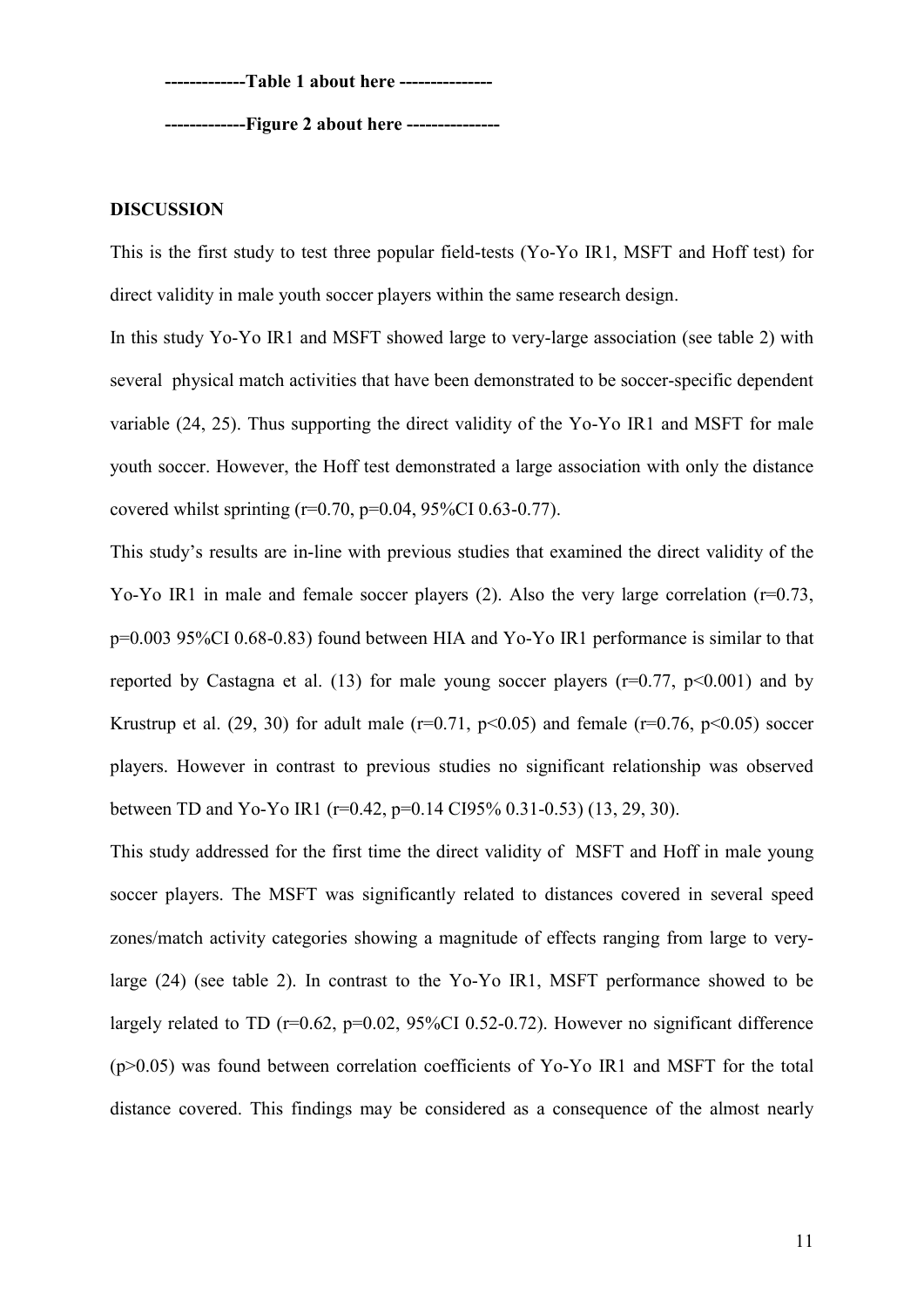**-------------Table 1 about here --------------- -------------Figure 2 about here ---------------** 

#### **DISCUSSION**

This is the first study to test three popular field-tests (Yo-Yo IR1, MSFT and Hoff test) for direct validity in male youth soccer players within the same research design.

In this study Yo-Yo IR1 and MSFT showed large to very-large association (see table 2) with several physical match activities that have been demonstrated to be soccer-specific dependent variable (24, 25). Thus supporting the direct validity of the Yo-Yo IR1 and MSFT for male youth soccer. However, the Hoff test demonstrated a large association with only the distance covered whilst sprinting  $(r=0.70, p=0.04, 95\% \text{CI } 0.63-0.77)$ .

This study's results are in-line with previous studies that examined the direct validity of the Yo-Yo IR1 in male and female soccer players (2). Also the very large correlation (r=0.73, p=0.003 95%CI 0.68-0.83) found between HIA and Yo-Yo IR1 performance is similar to that reported by Castagna et al. (13) for male young soccer players ( $r=0.77$ ,  $p<0.001$ ) and by Krustrup et al. (29, 30) for adult male ( $r=0.71$ ,  $p<0.05$ ) and female ( $r=0.76$ ,  $p<0.05$ ) soccer players. However in contrast to previous studies no significant relationship was observed between TD and Yo-Yo IR1 (r=0.42, p=0.14 CI95% 0.31-0.53) (13, 29, 30).

This study addressed for the first time the direct validity of MSFT and Hoff in male young soccer players. The MSFT was significantly related to distances covered in several speed zones/match activity categories showing a magnitude of effects ranging from large to verylarge (24) (see table 2). In contrast to the Yo-Yo IR1, MSFT performance showed to be largely related to TD ( $r=0.62$ ,  $p=0.02$ ,  $95\%$ CI 0.52-0.72). However no significant difference (p>0.05) was found between correlation coefficients of Yo-Yo IR1 and MSFT for the total distance covered. This findings may be considered as a consequence of the almost nearly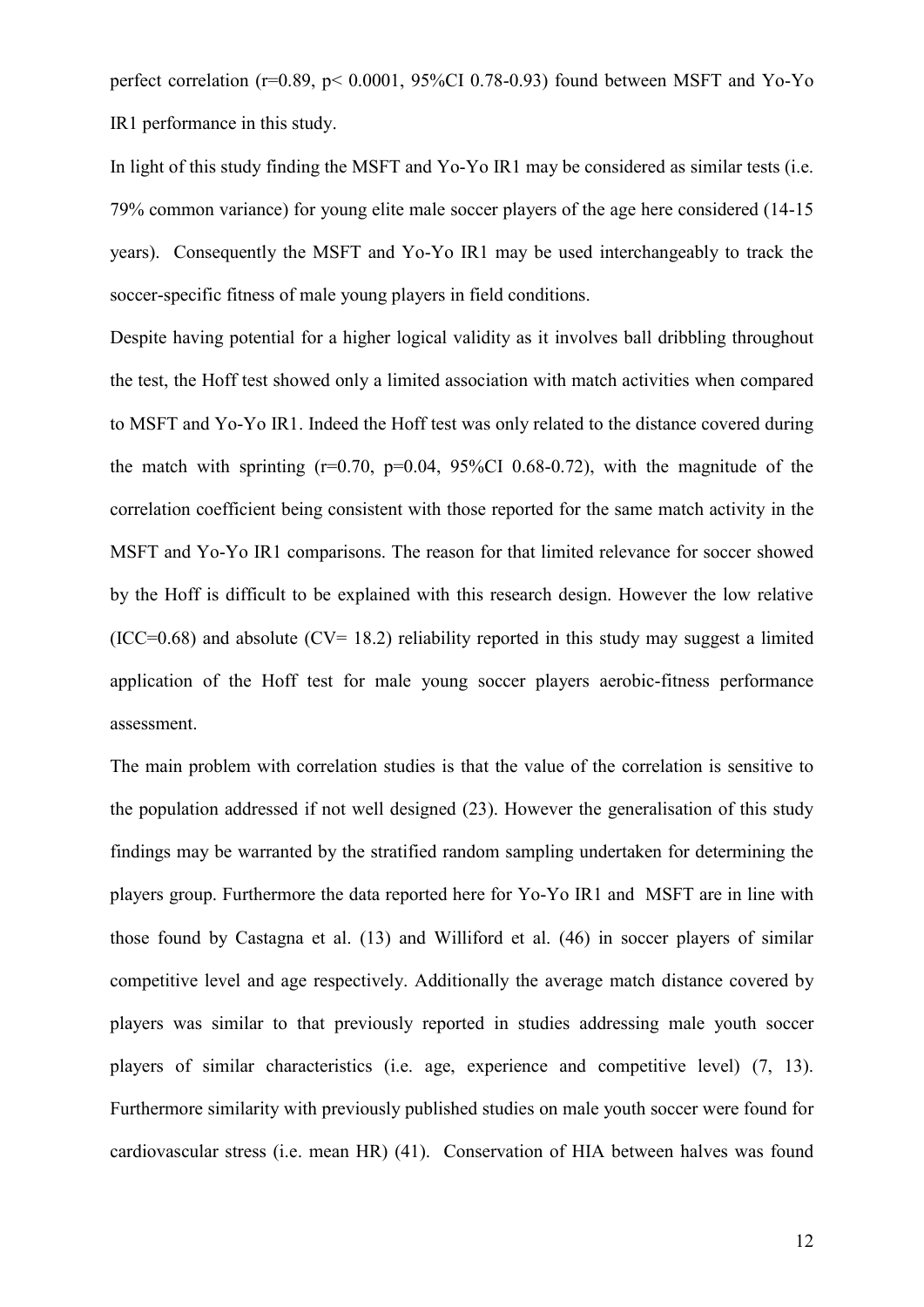perfect correlation (r=0.89, p< 0.0001, 95%CI 0.78-0.93) found between MSFT and Yo-Yo IR1 performance in this study.

In light of this study finding the MSFT and Yo-Yo IR1 may be considered as similar tests (i.e. 79% common variance) for young elite male soccer players of the age here considered (14-15 years). Consequently the MSFT and Yo-Yo IR1 may be used interchangeably to track the soccer-specific fitness of male young players in field conditions.

Despite having potential for a higher logical validity as it involves ball dribbling throughout the test, the Hoff test showed only a limited association with match activities when compared to MSFT and Yo-Yo IR1. Indeed the Hoff test was only related to the distance covered during the match with sprinting  $(r=0.70, p=0.04, 95\%$ CI 0.68-0.72), with the magnitude of the correlation coefficient being consistent with those reported for the same match activity in the MSFT and Yo-Yo IR1 comparisons. The reason for that limited relevance for soccer showed by the Hoff is difficult to be explained with this research design. However the low relative  $(ICC=0.68)$  and absolute  $(CV= 18.2)$  reliability reported in this study may suggest a limited application of the Hoff test for male young soccer players aerobic-fitness performance assessment.

The main problem with correlation studies is that the value of the correlation is sensitive to the population addressed if not well designed (23). However the generalisation of this study findings may be warranted by the stratified random sampling undertaken for determining the players group. Furthermore the data reported here for Yo-Yo IR1 and MSFT are in line with those found by Castagna et al. (13) and Williford et al. (46) in soccer players of similar competitive level and age respectively. Additionally the average match distance covered by players was similar to that previously reported in studies addressing male youth soccer players of similar characteristics (i.e. age, experience and competitive level) (7, 13). Furthermore similarity with previously published studies on male youth soccer were found for cardiovascular stress (i.e. mean HR) (41). Conservation of HIA between halves was found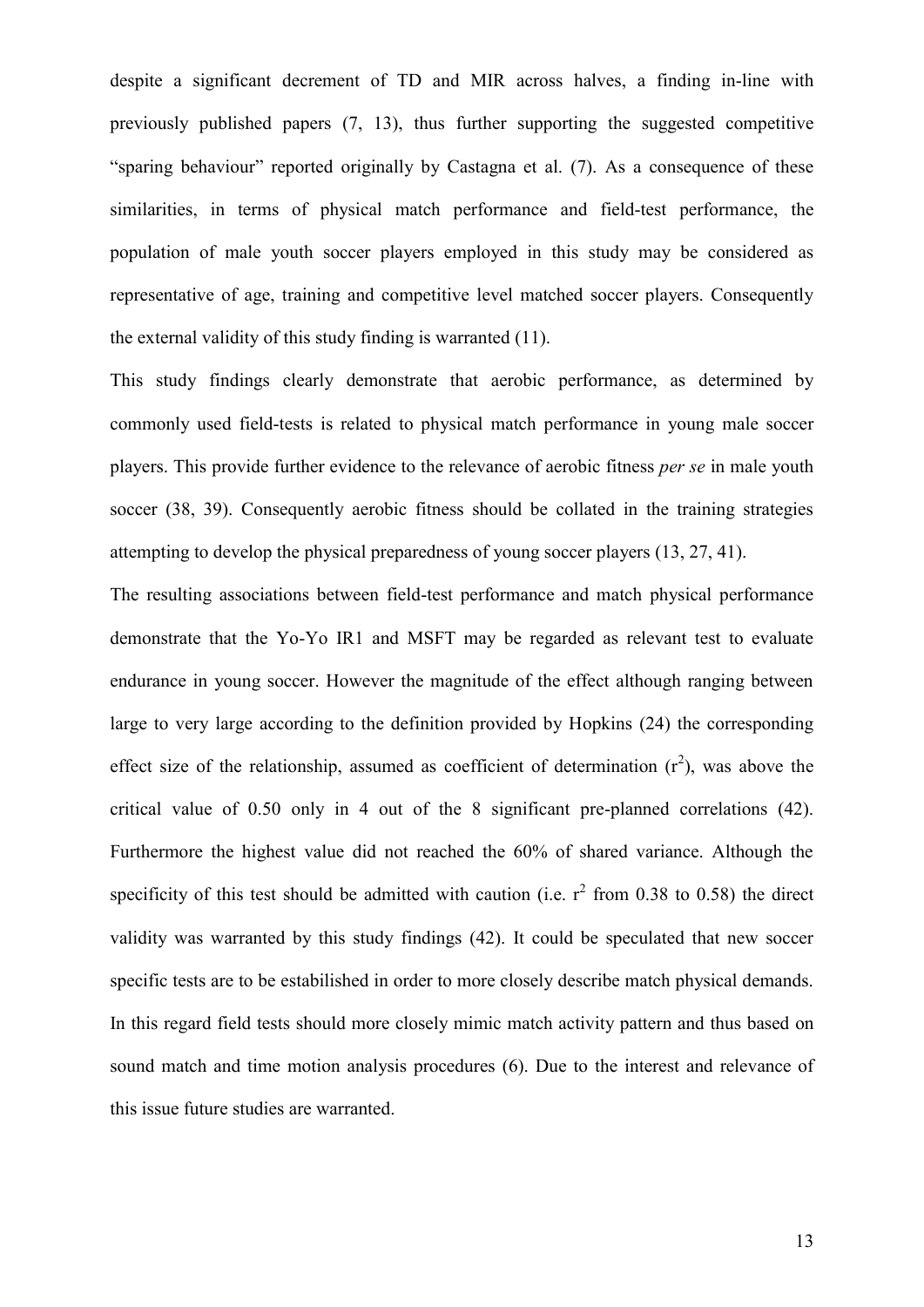despite a significant decrement of TD and MIR across halves, a finding in-line with previously published papers (7, 13), thus further supporting the suggested competitive "sparing behaviour" reported originally by Castagna et al. (7). As a consequence of these similarities, in terms of physical match performance and field-test performance, the population of male youth soccer players employed in this study may be considered as representative of age, training and competitive level matched soccer players. Consequently the external validity of this study finding is warranted (11).

This study findings clearly demonstrate that aerobic performance, as determined by commonly used field-tests is related to physical match performance in young male soccer players. This provide further evidence to the relevance of aerobic fitness *per se* in male youth soccer (38, 39). Consequently aerobic fitness should be collated in the training strategies attempting to develop the physical preparedness of young soccer players (13, 27, 41).

The resulting associations between field-test performance and match physical performance demonstrate that the Yo-Yo IR1 and MSFT may be regarded as relevant test to evaluate endurance in young soccer. However the magnitude of the effect although ranging between large to very large according to the definition provided by Hopkins (24) the corresponding effect size of the relationship, assumed as coefficient of determination  $(r^2)$ , was above the critical value of 0.50 only in 4 out of the 8 significant pre-planned correlations (42). Furthermore the highest value did not reached the 60% of shared variance. Although the specificity of this test should be admitted with caution (i.e.  $r^2$  from 0.38 to 0.58) the direct validity was warranted by this study findings (42). It could be speculated that new soccer specific tests are to be estabilished in order to more closely describe match physical demands. In this regard field tests should more closely mimic match activity pattern and thus based on sound match and time motion analysis procedures (6). Due to the interest and relevance of this issue future studies are warranted.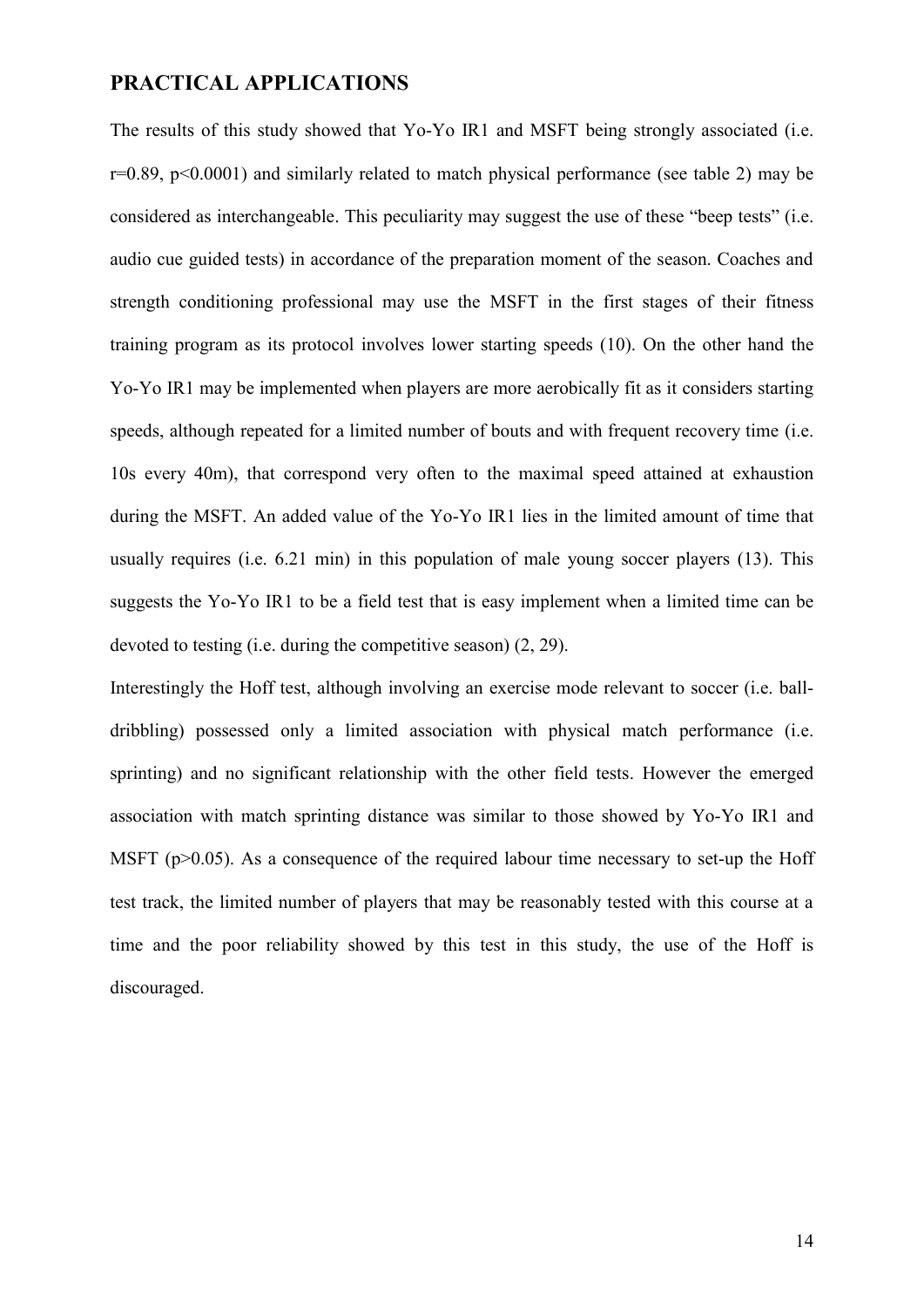## **PRACTICAL APPLICATIONS**

The results of this study showed that Yo-Yo IR1 and MSFT being strongly associated (i.e.  $r=0.89$ ,  $p<0.0001$ ) and similarly related to match physical performance (see table 2) may be considered as interchangeable. This peculiarity may suggest the use of these "beep tests" (i.e. audio cue guided tests) in accordance of the preparation moment of the season. Coaches and strength conditioning professional may use the MSFT in the first stages of their fitness training program as its protocol involves lower starting speeds (10). On the other hand the Yo-Yo IR1 may be implemented when players are more aerobically fit as it considers starting speeds, although repeated for a limited number of bouts and with frequent recovery time (i.e. 10s every 40m), that correspond very often to the maximal speed attained at exhaustion during the MSFT. An added value of the Yo-Yo IR1 lies in the limited amount of time that usually requires (i.e. 6.21 min) in this population of male young soccer players (13). This suggests the Yo-Yo IR1 to be a field test that is easy implement when a limited time can be devoted to testing (i.e. during the competitive season) (2, 29).

Interestingly the Hoff test, although involving an exercise mode relevant to soccer (i.e. balldribbling) possessed only a limited association with physical match performance (i.e. sprinting) and no significant relationship with the other field tests. However the emerged association with match sprinting distance was similar to those showed by Yo-Yo IR1 and MSFT ( $p>0.05$ ). As a consequence of the required labour time necessary to set-up the Hoff test track, the limited number of players that may be reasonably tested with this course at a time and the poor reliability showed by this test in this study, the use of the Hoff is discouraged.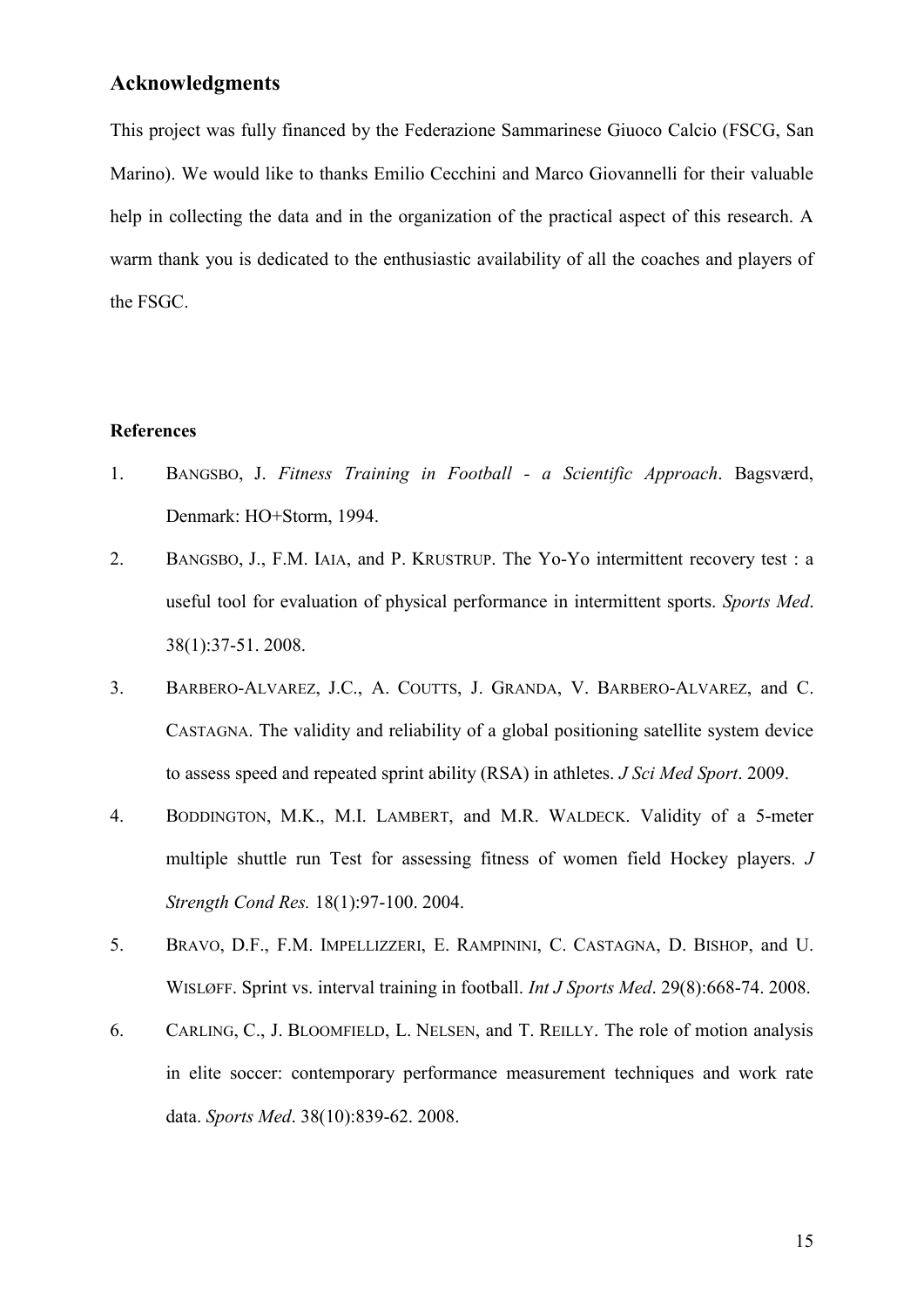### **Acknowledgments**

This project was fully financed by the Federazione Sammarinese Giuoco Calcio (FSCG, San Marino). We would like to thanks Emilio Cecchini and Marco Giovannelli for their valuable help in collecting the data and in the organization of the practical aspect of this research. A warm thank you is dedicated to the enthusiastic availability of all the coaches and players of the FSGC.

#### **References**

- 1. BANGSBO, J. *Fitness Training in Football a Scientific Approach*. Bagsværd, Denmark: HO+Storm, 1994.
- 2. BANGSBO, J., F.M. IAIA, and P. KRUSTRUP. The Yo-Yo intermittent recovery test : a useful tool for evaluation of physical performance in intermittent sports. *Sports Med*. 38(1):37-51. 2008.
- 3. BARBERO-ALVAREZ, J.C., A. COUTTS, J. GRANDA, V. BARBERO-ALVAREZ, and C. CASTAGNA. The validity and reliability of a global positioning satellite system device to assess speed and repeated sprint ability (RSA) in athletes. *J Sci Med Sport*. 2009.
- 4. BODDINGTON, M.K., M.I. LAMBERT, and M.R. WALDECK. Validity of a 5-meter multiple shuttle run Test for assessing fitness of women field Hockey players. *J Strength Cond Res.* 18(1):97-100. 2004.
- 5. BRAVO, D.F., F.M. IMPELLIZZERI, E. RAMPININI, C. CASTAGNA, D. BISHOP, and U. WISLØFF. Sprint vs. interval training in football. *Int J Sports Med*. 29(8):668-74. 2008.
- 6. CARLING, C., J. BLOOMFIELD, L. NELSEN, and T. REILLY. The role of motion analysis in elite soccer: contemporary performance measurement techniques and work rate data. *Sports Med*. 38(10):839-62. 2008.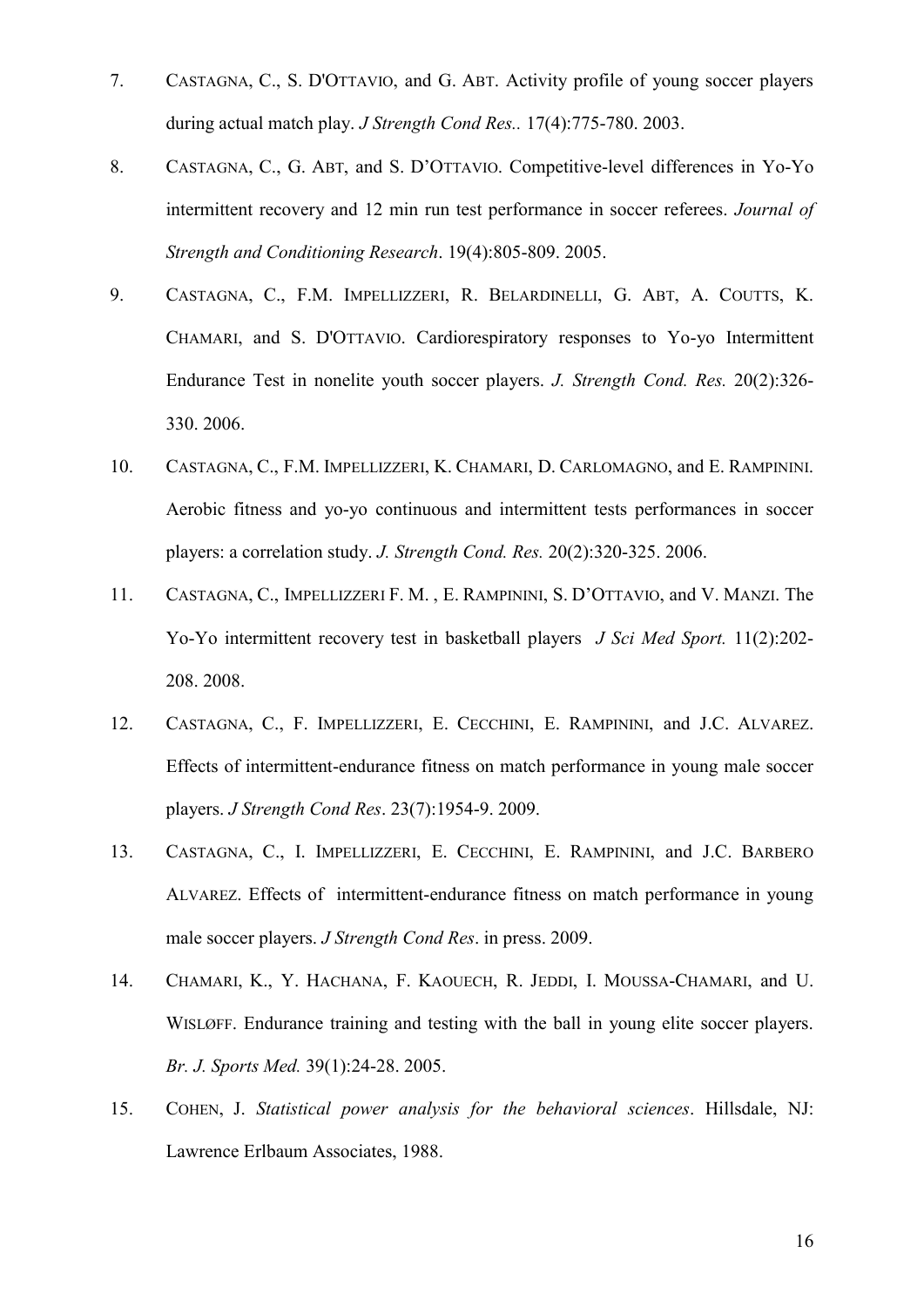- 7. CASTAGNA, C., S. D'OTTAVIO, and G. ABT. Activity profile of young soccer players during actual match play. *J Strength Cond Res..* 17(4):775-780. 2003.
- 8. CASTAGNA, C., G. ABT, and S. D'OTTAVIO. Competitive-level differences in Yo-Yo intermittent recovery and 12 min run test performance in soccer referees. *Journal of Strength and Conditioning Research*. 19(4):805-809. 2005.
- 9. CASTAGNA, C., F.M. IMPELLIZZERI, R. BELARDINELLI, G. ABT, A. COUTTS, K. CHAMARI, and S. D'OTTAVIO. Cardiorespiratory responses to Yo-yo Intermittent Endurance Test in nonelite youth soccer players. *J. Strength Cond. Res.* 20(2):326- 330. 2006.
- 10. CASTAGNA, C., F.M. IMPELLIZZERI, K. CHAMARI, D. CARLOMAGNO, and E. RAMPININI. Aerobic fitness and yo-yo continuous and intermittent tests performances in soccer players: a correlation study. *J. Strength Cond. Res.* 20(2):320-325. 2006.
- 11. CASTAGNA, C., IMPELLIZZERI F. M. , E. RAMPININI, S. D'OTTAVIO, and V. MANZI. The Yo-Yo intermittent recovery test in basketball players *J Sci Med Sport.* 11(2):202- 208. 2008.
- 12. CASTAGNA, C., F. IMPELLIZZERI, E. CECCHINI, E. RAMPININI, and J.C. ALVAREZ. Effects of intermittent-endurance fitness on match performance in young male soccer players. *J Strength Cond Res*. 23(7):1954-9. 2009.
- 13. CASTAGNA, C., I. IMPELLIZZERI, E. CECCHINI, E. RAMPININI, and J.C. BARBERO ALVAREZ. Effects of intermittent-endurance fitness on match performance in young male soccer players. *J Strength Cond Res*. in press. 2009.
- 14. CHAMARI, K., Y. HACHANA, F. KAOUECH, R. JEDDI, I. MOUSSA-CHAMARI, and U. WISLØFF. Endurance training and testing with the ball in young elite soccer players. *Br. J. Sports Med.* 39(1):24-28. 2005.
- 15. COHEN, J. *Statistical power analysis for the behavioral sciences*. Hillsdale, NJ: Lawrence Erlbaum Associates, 1988.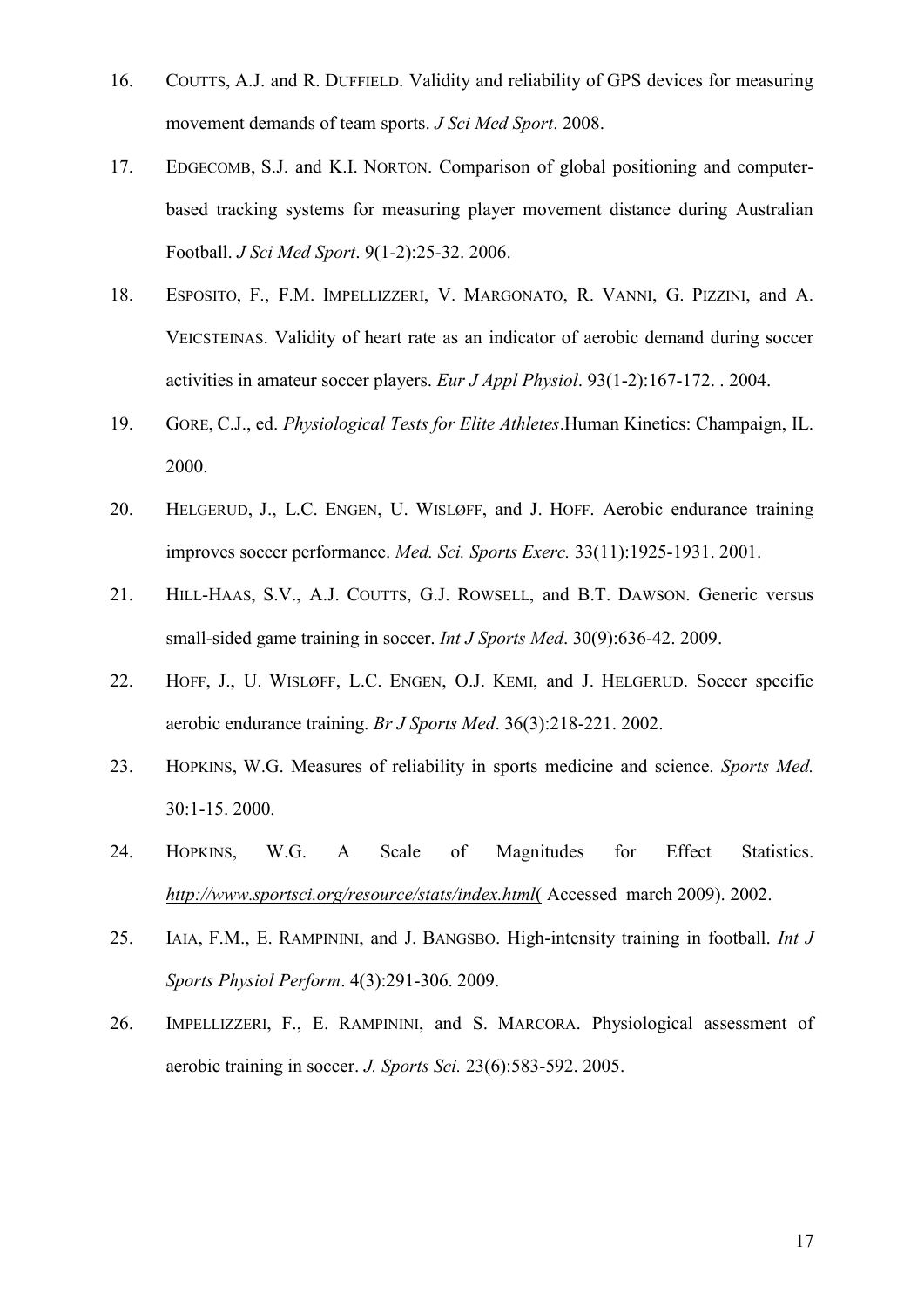- 16. COUTTS, A.J. and R. DUFFIELD. Validity and reliability of GPS devices for measuring movement demands of team sports. *J Sci Med Sport*. 2008.
- 17. EDGECOMB, S.J. and K.I. NORTON. Comparison of global positioning and computerbased tracking systems for measuring player movement distance during Australian Football. *J Sci Med Sport*. 9(1-2):25-32. 2006.
- 18. ESPOSITO, F., F.M. IMPELLIZZERI, V. MARGONATO, R. VANNI, G. PIZZINI, and A. VEICSTEINAS. Validity of heart rate as an indicator of aerobic demand during soccer activities in amateur soccer players. *Eur J Appl Physiol*. 93(1-2):167-172. . 2004.
- 19. GORE, C.J., ed. *Physiological Tests for Elite Athletes*.Human Kinetics: Champaign, IL. 2000.
- 20. HELGERUD, J., L.C. ENGEN, U. WISLØFF, and J. HOFF. Aerobic endurance training improves soccer performance. *Med. Sci. Sports Exerc.* 33(11):1925-1931. 2001.
- 21. HILL-HAAS, S.V., A.J. COUTTS, G.J. ROWSELL, and B.T. DAWSON. Generic versus small-sided game training in soccer. *Int J Sports Med*. 30(9):636-42. 2009.
- 22. HOFF, J., U. WISLØFF, L.C. ENGEN, O.J. KEMI, and J. HELGERUD. Soccer specific aerobic endurance training. *Br J Sports Med*. 36(3):218-221. 2002.
- 23. HOPKINS, W.G. Measures of reliability in sports medicine and science. *Sports Med.* 30:1-15. 2000.
- 24. HOPKINS, W.G. A Scale of Magnitudes for Effect Statistics. *[http://www.sportsci.org/resource/stats/index.html](http://www.sportsci.org/resource/stats/index.html()*( Accessed march 2009). 2002.
- 25. IAIA, F.M., E. RAMPININI, and J. BANGSBO. High-intensity training in football. *Int J Sports Physiol Perform*. 4(3):291-306. 2009.
- 26. IMPELLIZZERI, F., E. RAMPININI, and S. MARCORA. Physiological assessment of aerobic training in soccer. *J. Sports Sci.* 23(6):583-592. 2005.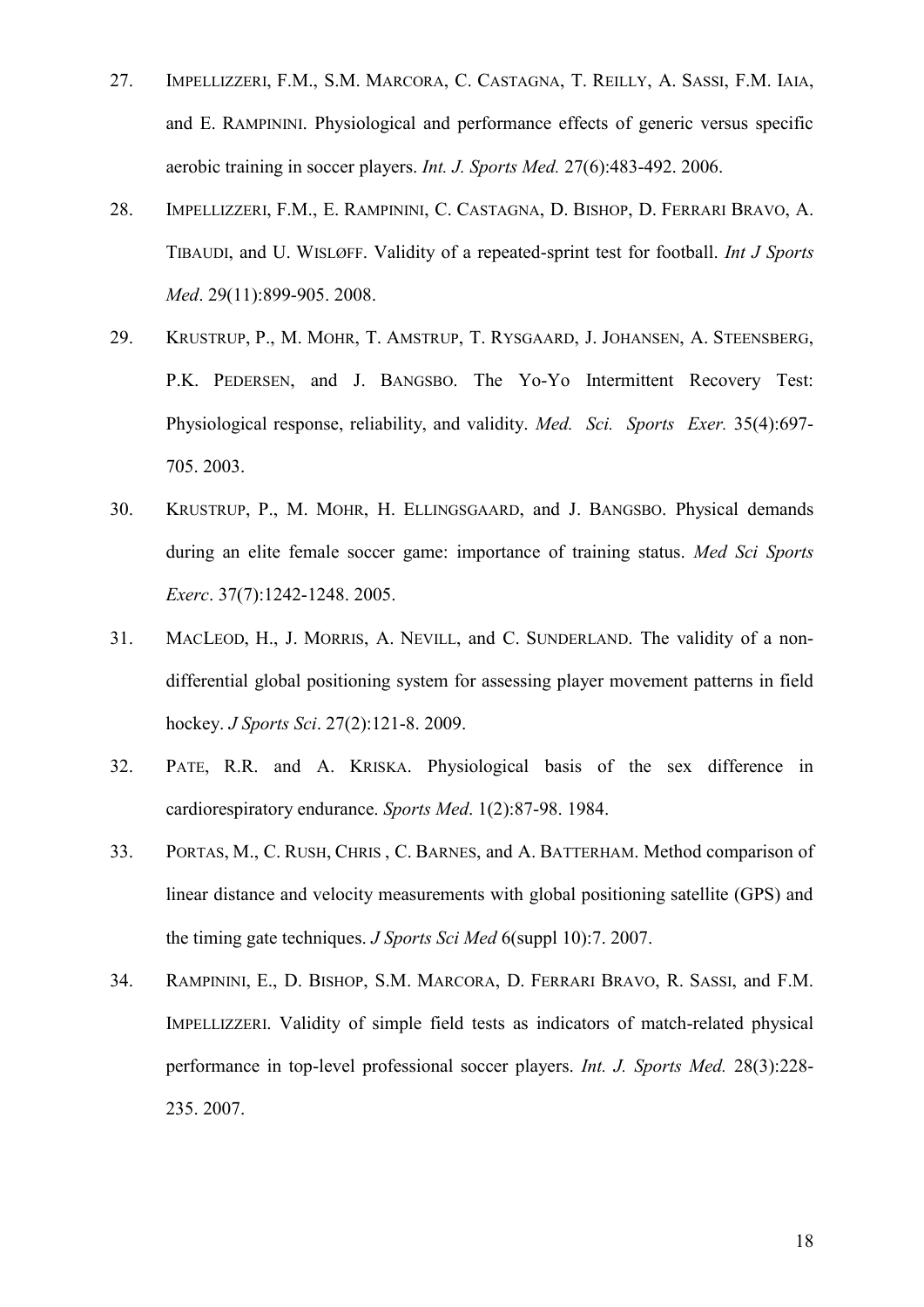- 27. IMPELLIZZERI, F.M., S.M. MARCORA, C. CASTAGNA, T. REILLY, A. SASSI, F.M. IAIA, and E. RAMPININI. Physiological and performance effects of generic versus specific aerobic training in soccer players. *Int. J. Sports Med.* 27(6):483-492. 2006.
- 28. IMPELLIZZERI, F.M., E. RAMPININI, C. CASTAGNA, D. BISHOP, D. FERRARI BRAVO, A. TIBAUDI, and U. WISLØFF. Validity of a repeated-sprint test for football. *Int J Sports Med*. 29(11):899-905. 2008.
- 29. KRUSTRUP, P., M. MOHR, T. AMSTRUP, T. RYSGAARD, J. JOHANSEN, A. STEENSBERG, P.K. PEDERSEN, and J. BANGSBO. The Yo-Yo Intermittent Recovery Test: Physiological response, reliability, and validity. *Med. Sci. Sports Exer.* 35(4):697- 705. 2003.
- 30. KRUSTRUP, P., M. MOHR, H. ELLINGSGAARD, and J. BANGSBO. Physical demands during an elite female soccer game: importance of training status. *Med Sci Sports Exerc*. 37(7):1242-1248. 2005.
- 31. MACLEOD, H., J. MORRIS, A. NEVILL, and C. SUNDERLAND. The validity of a nondifferential global positioning system for assessing player movement patterns in field hockey. *J Sports Sci*. 27(2):121-8. 2009.
- 32. PATE, R.R. and A. KRISKA. Physiological basis of the sex difference in cardiorespiratory endurance. *Sports Med*. 1(2):87-98. 1984.
- 33. PORTAS, M., C. RUSH, CHRIS , C. BARNES, and A. BATTERHAM. Method comparison of linear distance and velocity measurements with global positioning satellite (GPS) and the timing gate techniques. *J Sports Sci Med* 6(suppl 10):7. 2007.
- 34. RAMPININI, E., D. BISHOP, S.M. MARCORA, D. FERRARI BRAVO, R. SASSI, and F.M. IMPELLIZZERI. Validity of simple field tests as indicators of match-related physical performance in top-level professional soccer players. *Int. J. Sports Med.* 28(3):228- 235. 2007.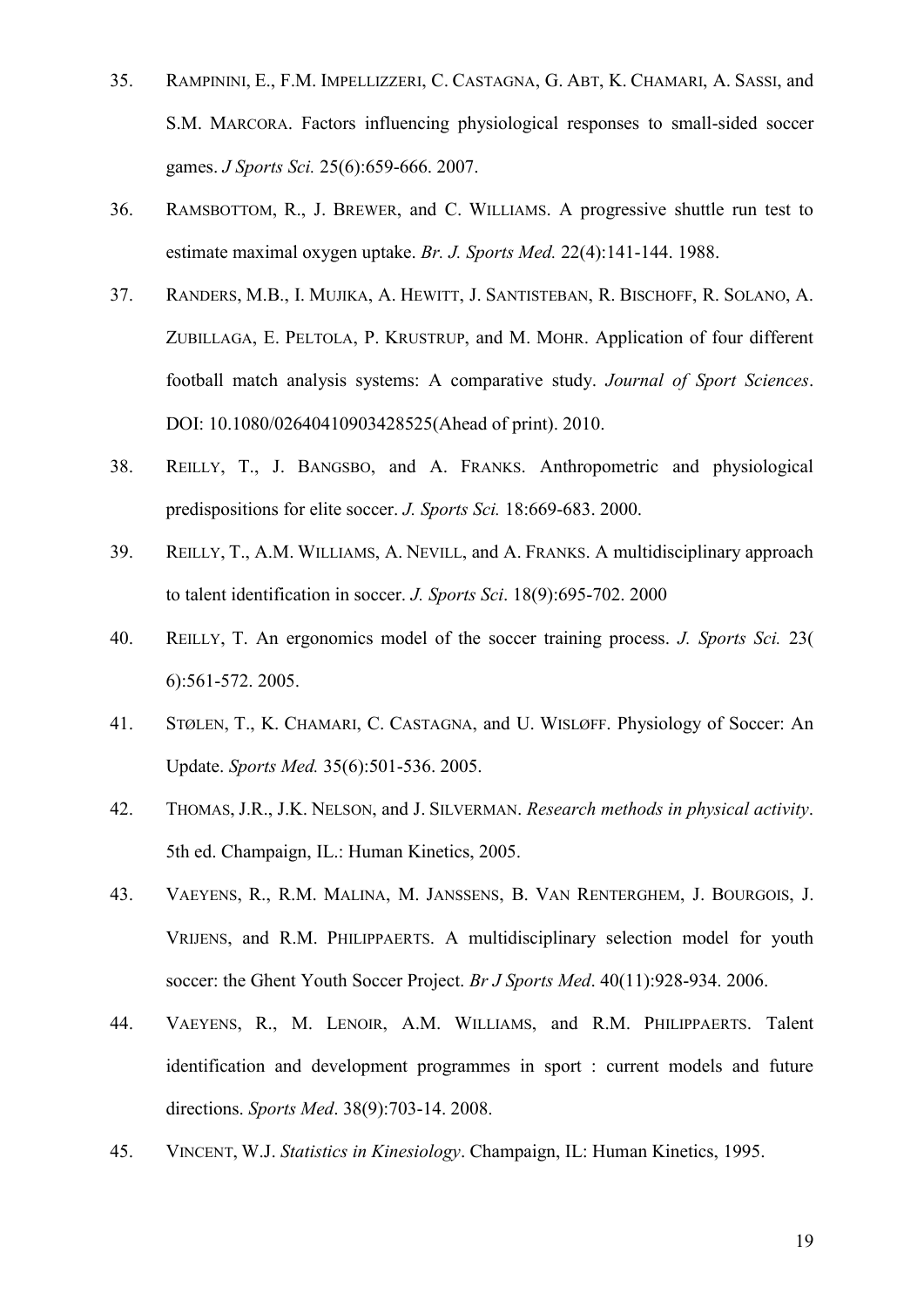- 35. RAMPININI, E., F.M. IMPELLIZZERI, C. CASTAGNA, G. ABT, K. CHAMARI, A. SASSI, and S.M. MARCORA. Factors influencing physiological responses to small-sided soccer games. *J Sports Sci.* 25(6):659-666. 2007.
- 36. RAMSBOTTOM, R., J. BREWER, and C. WILLIAMS. A progressive shuttle run test to estimate maximal oxygen uptake. *Br. J. Sports Med.* 22(4):141-144. 1988.
- 37. RANDERS, M.B., I. MUJIKA, A. HEWITT, J. SANTISTEBAN, R. BISCHOFF, R. SOLANO, A. ZUBILLAGA, E. PELTOLA, P. KRUSTRUP, and M. MOHR. Application of four different football match analysis systems: A comparative study. *Journal of Sport Sciences*. DOI: 10.1080/02640410903428525(Ahead of print). 2010.
- 38. REILLY, T., J. BANGSBO, and A. FRANKS. Anthropometric and physiological predispositions for elite soccer. *J. Sports Sci.* 18:669-683. 2000.
- 39. REILLY, T., A.M. WILLIAMS, A. NEVILL, and A. FRANKS. A multidisciplinary approach to talent identification in soccer. *J. Sports Sci*. 18(9):695-702. 2000
- 40. REILLY, T. An ergonomics model of the soccer training process. *J. Sports Sci.* 23( 6):561-572. 2005.
- 41. STØLEN, T., K. CHAMARI, C. CASTAGNA, and U. WISLØFF. Physiology of Soccer: An Update. *Sports Med.* 35(6):501-536. 2005.
- 42. THOMAS, J.R., J.K. NELSON, and J. SILVERMAN. *Research methods in physical activity*. 5th ed. Champaign, IL.: Human Kinetics, 2005.
- 43. VAEYENS, R., R.M. MALINA, M. JANSSENS, B. VAN RENTERGHEM, J. BOURGOIS, J. VRIJENS, and R.M. PHILIPPAERTS. A multidisciplinary selection model for youth soccer: the Ghent Youth Soccer Project. *Br J Sports Med*. 40(11):928-934. 2006.
- 44. VAEYENS, R., M. LENOIR, A.M. WILLIAMS, and R.M. PHILIPPAERTS. Talent identification and development programmes in sport : current models and future directions. *Sports Med*. 38(9):703-14. 2008.
- 45. VINCENT, W.J. *Statistics in Kinesiology*. Champaign, IL: Human Kinetics, 1995.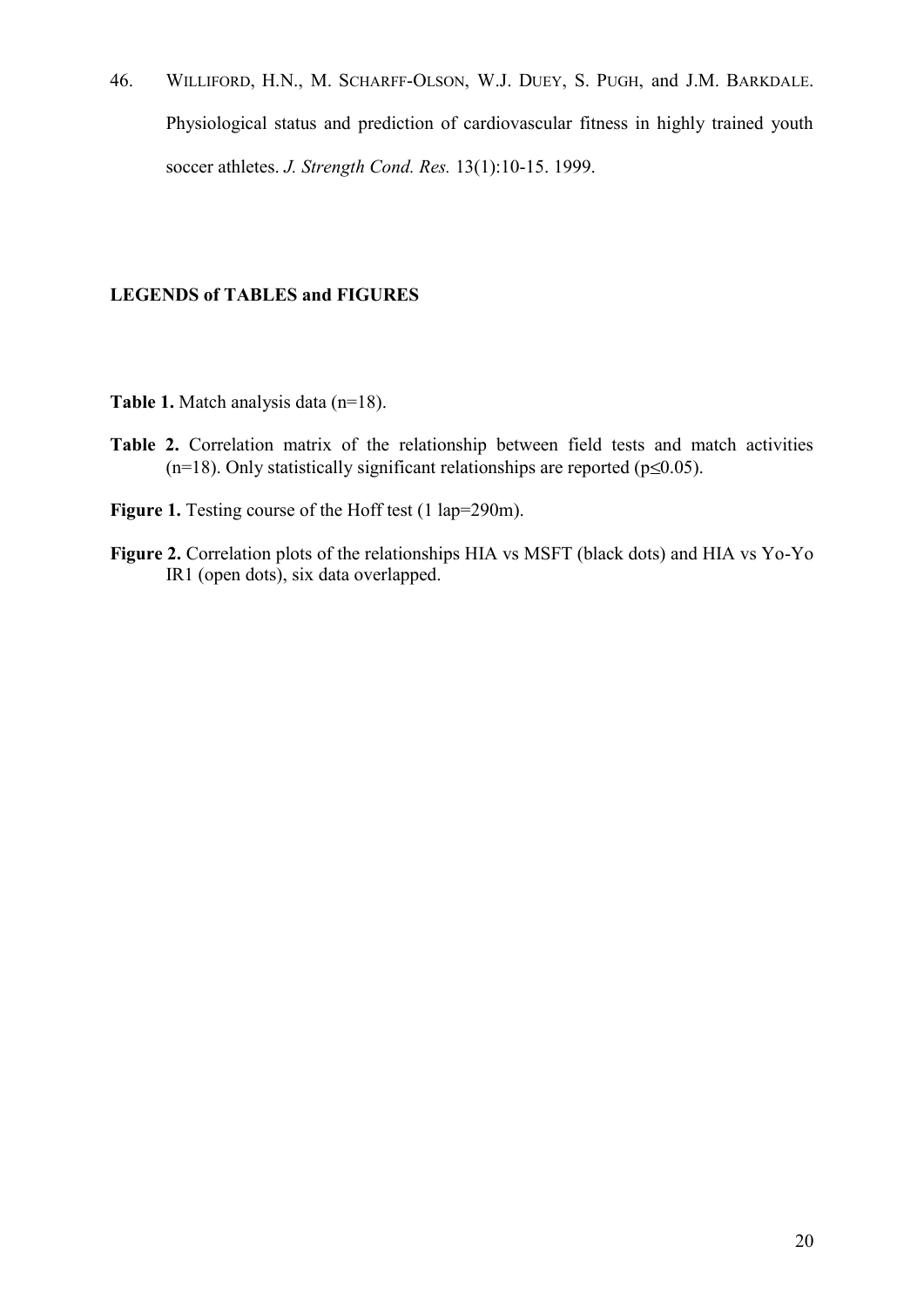46. WILLIFORD, H.N., M. SCHARFF-OLSON, W.J. DUEY, S. PUGH, and J.M. BARKDALE. Physiological status and prediction of cardiovascular fitness in highly trained youth soccer athletes. *J. Strength Cond. Res.* 13(1):10-15. 1999.

#### **LEGENDS of TABLES and FIGURES**

**Table 1.** Match analysis data (n=18).

- **Table 2.** Correlation matrix of the relationship between field tests and match activities (n=18). Only statistically significant relationships are reported ( $p \le 0.05$ ).
- **Figure 1.** Testing course of the Hoff test (1 lap=290m).
- **Figure 2.** Correlation plots of the relationships HIA vs MSFT (black dots) and HIA vs Yo-Yo IR1 (open dots), six data overlapped.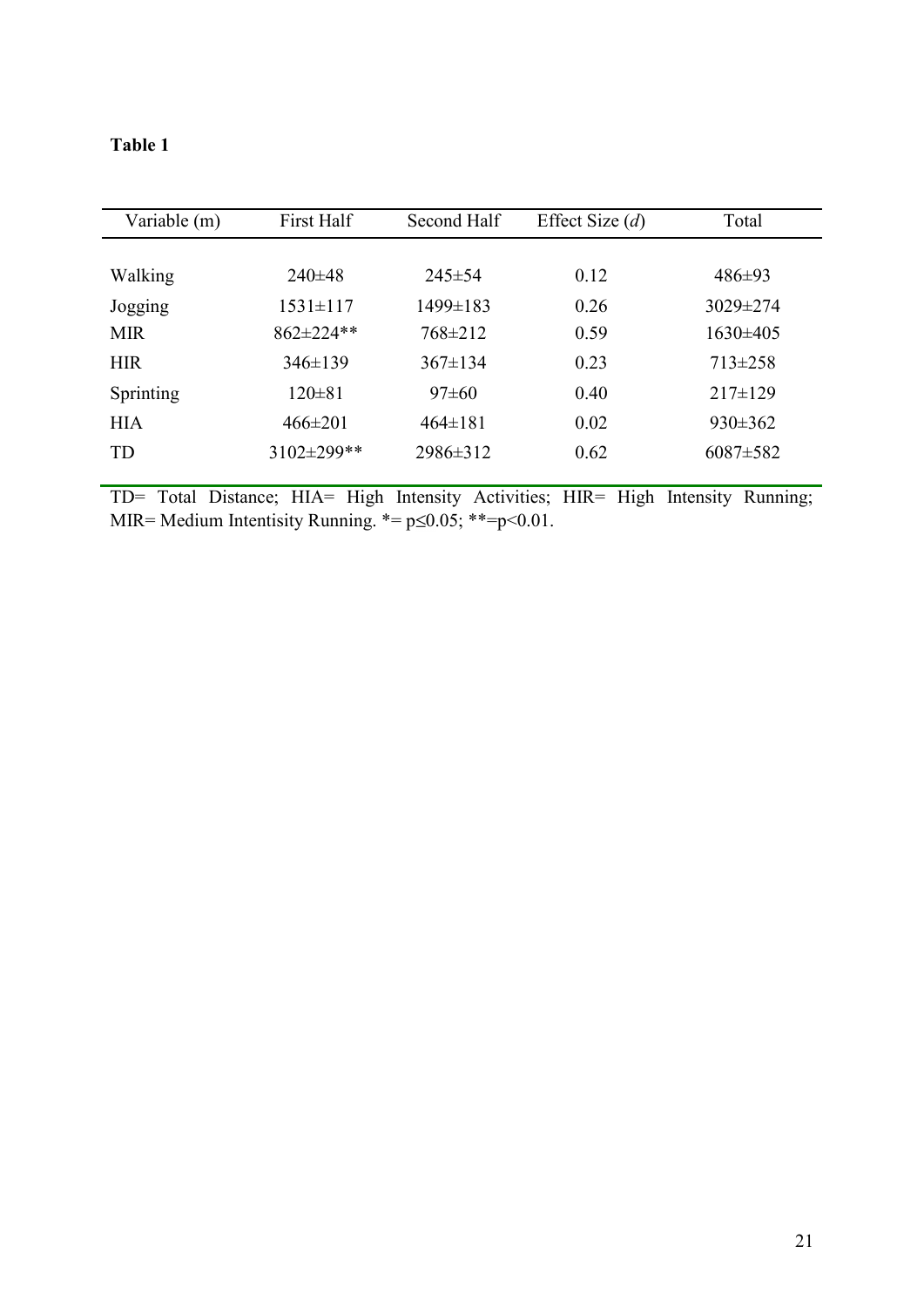## **Table 1**

| Variable (m) | First Half       | Second Half    | Effect Size $(d)$ | Total          |  |
|--------------|------------------|----------------|-------------------|----------------|--|
|              |                  |                |                   |                |  |
| Walking      | $240\pm 48$      | $245 \pm 54$   | 0.12              | $486 \pm 93$   |  |
| Jogging      | $1531 \pm 117$   | $1499 \pm 183$ | 0.26              | $3029 \pm 274$ |  |
| <b>MIR</b>   | $862 \pm 224$ ** | $768 \pm 212$  | 0.59              | $1630\pm405$   |  |
| <b>HIR</b>   | $346 \pm 139$    | $367 \pm 134$  | 0.23              | $713 \pm 258$  |  |
| Sprinting    | $120 \pm 81$     | $97 \pm 60$    | 0.40              | $217\pm129$    |  |
| <b>HIA</b>   | $466 \pm 201$    | $464\pm181$    | 0.02              | $930 \pm 362$  |  |
| TD           | 3102±299**       | $2986 \pm 312$ | 0.62              | $6087 \pm 582$ |  |
|              |                  |                |                   |                |  |

TD= Total Distance; HIA= High Intensity Activities; HIR= High Intensity Running; MIR= Medium Intentisity Running.  $*=p \le 0.05; **=p < 0.01$ .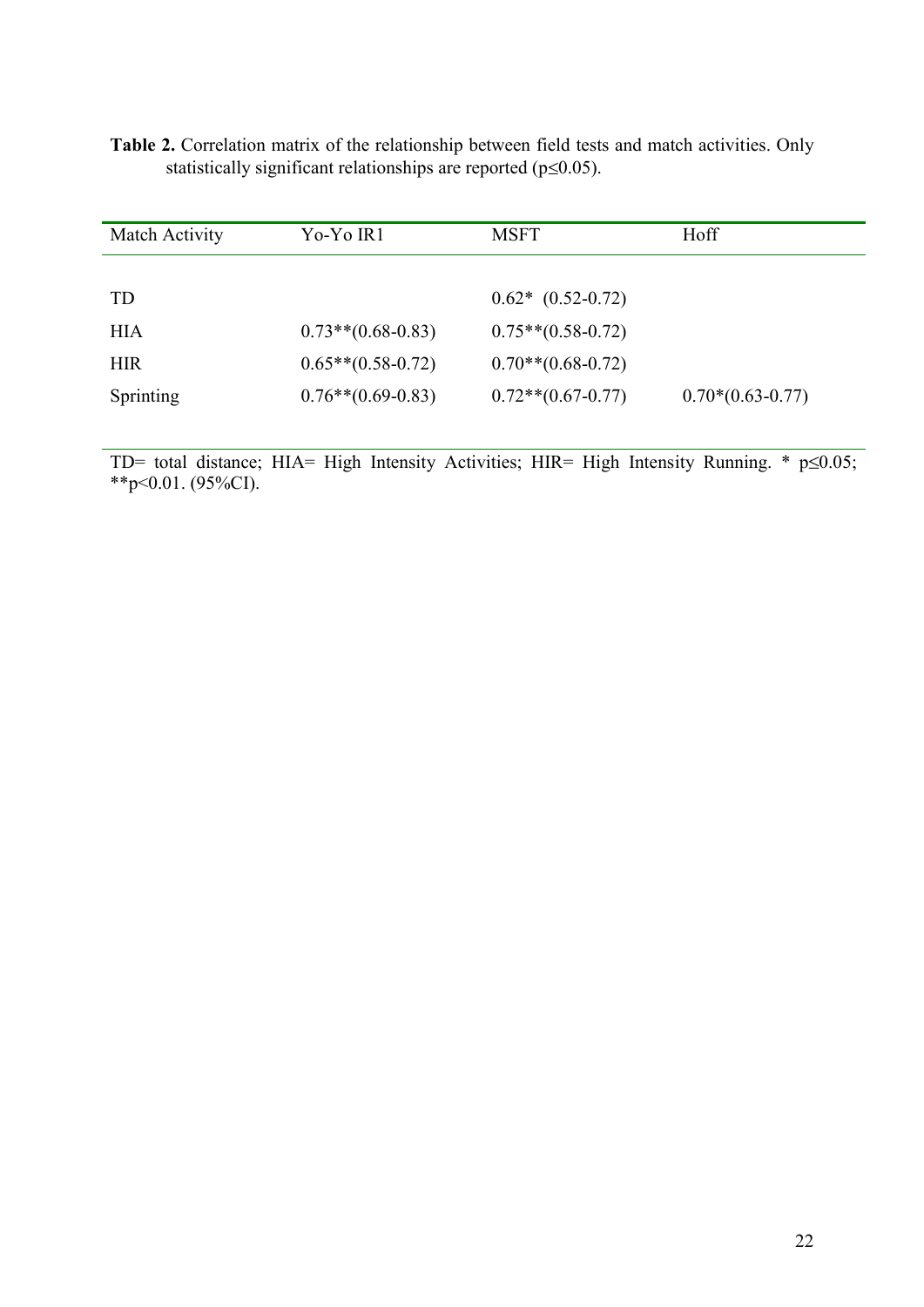**Table 2.** Correlation matrix of the relationship between field tests and match activities. Only statistically significant relationships are reported ( $p \le 0.05$ ).

| <b>Match Activity</b> | Yo-Yo IR1            | <b>MSFT</b>          | Hoff               |
|-----------------------|----------------------|----------------------|--------------------|
|                       |                      |                      |                    |
| TD                    |                      | $0.62*(0.52-0.72)$   |                    |
| HIA                   | $0.73**$ (0.68-0.83) | $0.75**$ (0.58-0.72) |                    |
| <b>HIR</b>            | $0.65**$ (0.58-0.72) | $0.70**$ (0.68-0.72) |                    |
| Sprinting             | $0.76**$ (0.69-0.83) | $0.72**$ (0.67-0.77) | $0.70*(0.63-0.77)$ |

TD= total distance; HIA= High Intensity Activities; HIR= High Intensity Running. \*  $p \le 0.05$ ; \*\*p<0.01.  $(95\%CI)$ .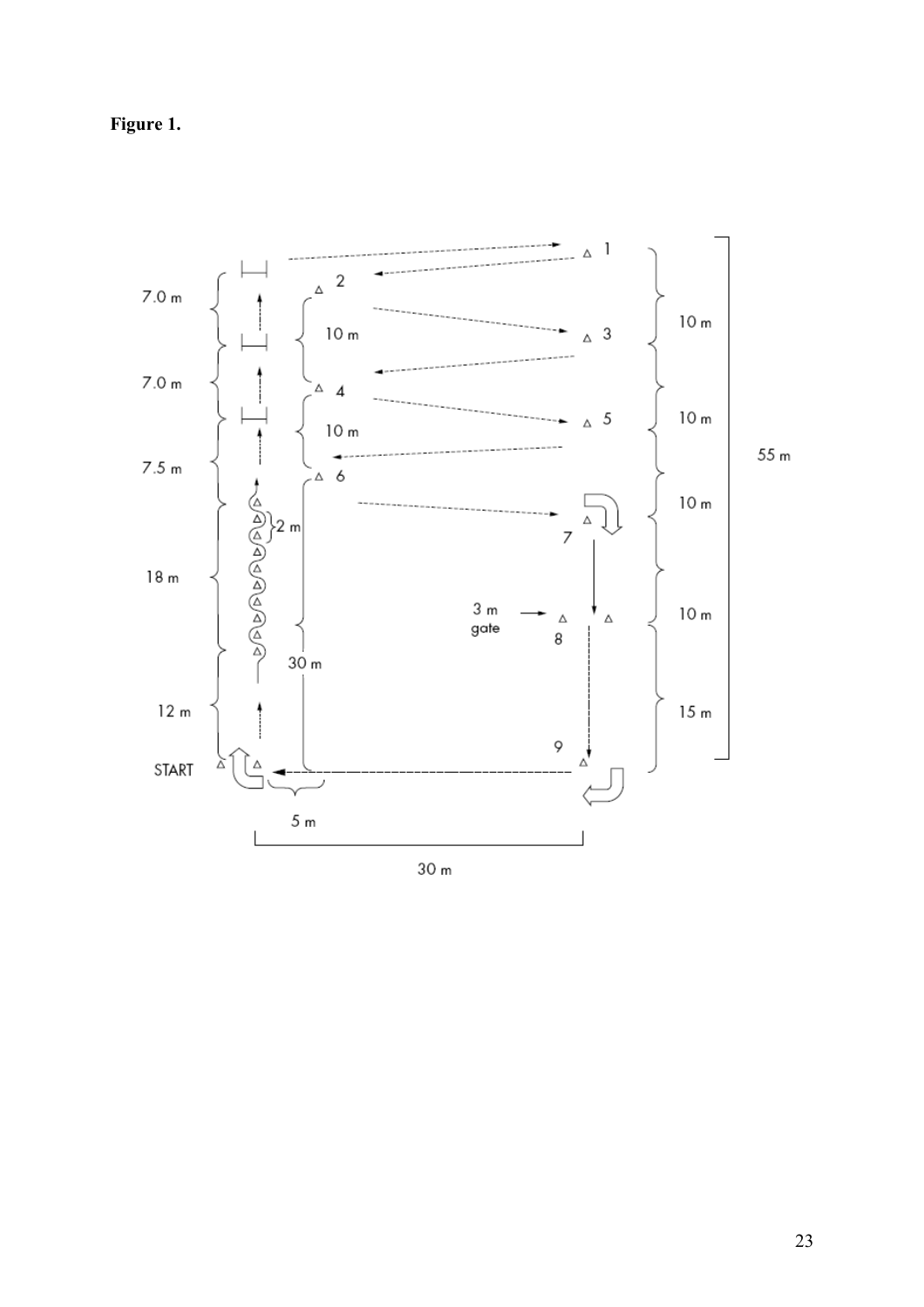**Figure 1.**